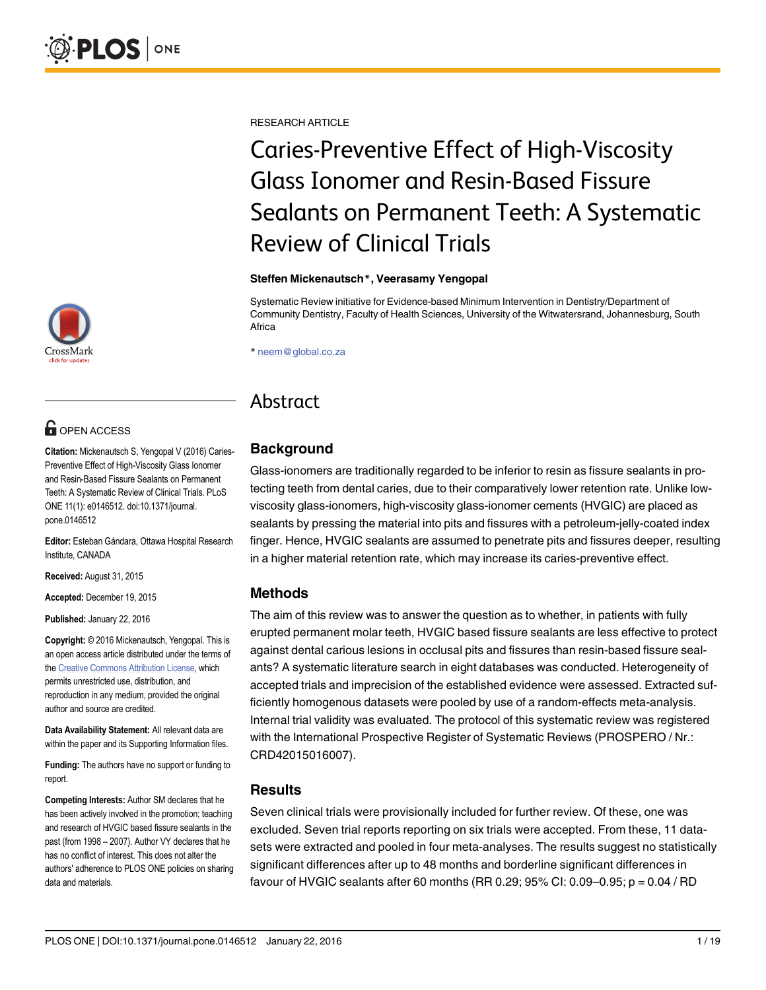RESEARCH ARTICLE

# Caries-Preventive Effect of High-Viscosity Glass Ionomer and Resin-Based Fissure Sealants on Permanent Teeth: A Systematic Review of Clinical Trials

#### Steffen Mickenautsch\*, Veerasamy Yengopal

Systematic Review initiative for Evidence-based Minimum Intervention in Dentistry/Department of Community Dentistry, Faculty of Health Sciences, University of the Witwatersrand, Johannesburg, South Africa

\* neem@global.co.za

## Abstract

## **Background**

Glass-ionomers are traditionally regarded to be inferior to resin as fissure sealants in protecting teeth from dental caries, due to their comparatively lower retention rate. Unlike lowviscosity glass-ionomers, high-viscosity glass-ionomer cements (HVGIC) are placed as sealants by pressing the material into pits and fissures with a petroleum-jelly-coated index finger. Hence, HVGIC sealants are assumed to penetrate pits and fissures deeper, resulting in a higher material retention rate, which may increase its caries-preventive effect.

## Methods

The aim of this review was to answer the question as to whether, in patients with fully erupted permanent molar teeth, HVGIC based fissure sealants are less effective to protect against dental carious lesions in occlusal pits and fissures than resin-based fissure sealants? A systematic literature search in eight databases was conducted. Heterogeneity of accepted trials and imprecision of the established evidence were assessed. Extracted sufficiently homogenous datasets were pooled by use of a random-effects meta-analysis. Internal trial validity was evaluated. The protocol of this systematic review was registered with the International Prospective Register of Systematic Reviews (PROSPERO / Nr.: CRD42015016007).

## **Results**

Seven clinical trials were provisionally included for further review. Of these, one was excluded. Seven trial reports reporting on six trials were accepted. From these, 11 datasets were extracted and pooled in four meta-analyses. The results suggest no statistically significant differences after up to 48 months and borderline significant differences in favour of HVGIC sealants after 60 months (RR 0.29; 95% CI: 0.09–0.95;  $p = 0.04 / RD$ 



## **O** OPEN ACCESS

Citation: Mickenautsch S, Yengopal V (2016) Caries-Preventive Effect of High-Viscosity Glass Ionomer and Resin-Based Fissure Sealants on Permanent Teeth: A Systematic Review of Clinical Trials. PLoS ONE 11(1): e0146512. doi:10.1371/journal. pone.0146512

Editor: Esteban Gándara, Ottawa Hospital Research Institute, CANADA

Received: August 31, 2015

Accepted: December 19, 2015

Published: January 22, 2016

Copyright: © 2016 Mickenautsch, Yengopal. This is an open access article distributed under the terms of the [Creative Commons Attribution License,](http://creativecommons.org/licenses/by/4.0/) which permits unrestricted use, distribution, and reproduction in any medium, provided the original author and source are credited.

Data Availability Statement: All relevant data are within the paper and its Supporting Information files.

Funding: The authors have no support or funding to report.

Competing Interests: Author SM declares that he has been actively involved in the promotion; teaching and research of HVGIC based fissure sealants in the past (from 1998 – 2007). Author VY declares that he has no conflict of interest. This does not alter the authors' adherence to PLOS ONE policies on sharing data and materials.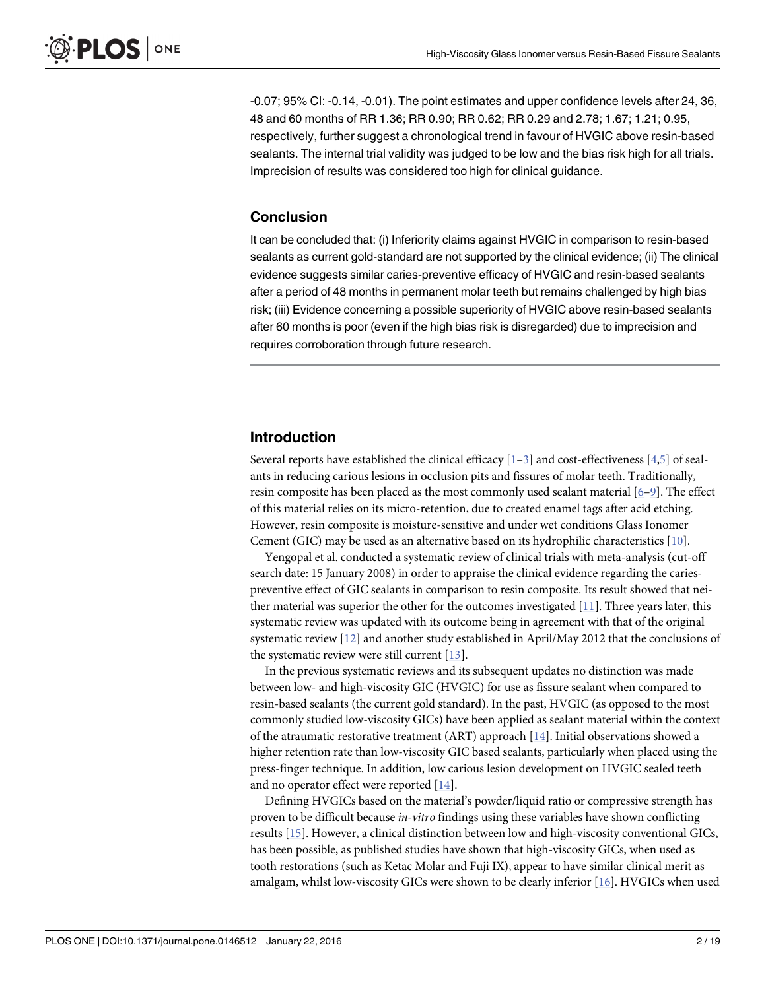<span id="page-1-0"></span>-0.07; 95% CI: -0.14, -0.01). The point estimates and upper confidence levels after 24, 36, 48 and 60 months of RR 1.36; RR 0.90; RR 0.62; RR 0.29 and 2.78; 1.67; 1.21; 0.95, respectively, further suggest a chronological trend in favour of HVGIC above resin-based sealants. The internal trial validity was judged to be low and the bias risk high for all trials. Imprecision of results was considered too high for clinical guidance.

## Conclusion

It can be concluded that: (i) Inferiority claims against HVGIC in comparison to resin-based sealants as current gold-standard are not supported by the clinical evidence; (ii) The clinical evidence suggests similar caries-preventive efficacy of HVGIC and resin-based sealants after a period of 48 months in permanent molar teeth but remains challenged by high bias risk; (iii) Evidence concerning a possible superiority of HVGIC above resin-based sealants after 60 months is poor (even if the high bias risk is disregarded) due to imprecision and requires corroboration through future research.

## Introduction

Several reports have established the clinical efficacy  $[1-3]$  $[1-3]$  $[1-3]$  and cost-effectiveness  $[4,5]$  $[4,5]$  of sealants in reducing carious lesions in occlusion pits and fissures of molar teeth. Traditionally, resin composite has been placed as the most commonly used sealant material [[6](#page-16-0)–[9\]](#page-16-0). The effect of this material relies on its micro-retention, due to created enamel tags after acid etching. However, resin composite is moisture-sensitive and under wet conditions Glass Ionomer Cement (GIC) may be used as an alternative based on its hydrophilic characteristics [[10](#page-16-0)].

Yengopal et al. conducted a systematic review of clinical trials with meta-analysis (cut-off search date: 15 January 2008) in order to appraise the clinical evidence regarding the cariespreventive effect of GIC sealants in comparison to resin composite. Its result showed that neither material was superior the other for the outcomes investigated  $[11]$  $[11]$ . Three years later, this systematic review was updated with its outcome being in agreement with that of the original systematic review [\[12\]](#page-17-0) and another study established in April/May 2012 that the conclusions of the systematic review were still current [[13](#page-17-0)].

In the previous systematic reviews and its subsequent updates no distinction was made between low- and high-viscosity GIC (HVGIC) for use as fissure sealant when compared to resin-based sealants (the current gold standard). In the past, HVGIC (as opposed to the most commonly studied low-viscosity GICs) have been applied as sealant material within the context of the atraumatic restorative treatment (ART) approach [[14](#page-17-0)]. Initial observations showed a higher retention rate than low-viscosity GIC based sealants, particularly when placed using the press-finger technique. In addition, low carious lesion development on HVGIC sealed teeth and no operator effect were reported  $[14]$ .

Defining HVGICs based on the material's powder/liquid ratio or compressive strength has proven to be difficult because in-vitro findings using these variables have shown conflicting results [\[15](#page-17-0)]. However, a clinical distinction between low and high-viscosity conventional GICs, has been possible, as published studies have shown that high-viscosity GICs, when used as tooth restorations (such as Ketac Molar and Fuji IX), appear to have similar clinical merit as amalgam, whilst low-viscosity GICs were shown to be clearly inferior [\[16](#page-17-0)]. HVGICs when used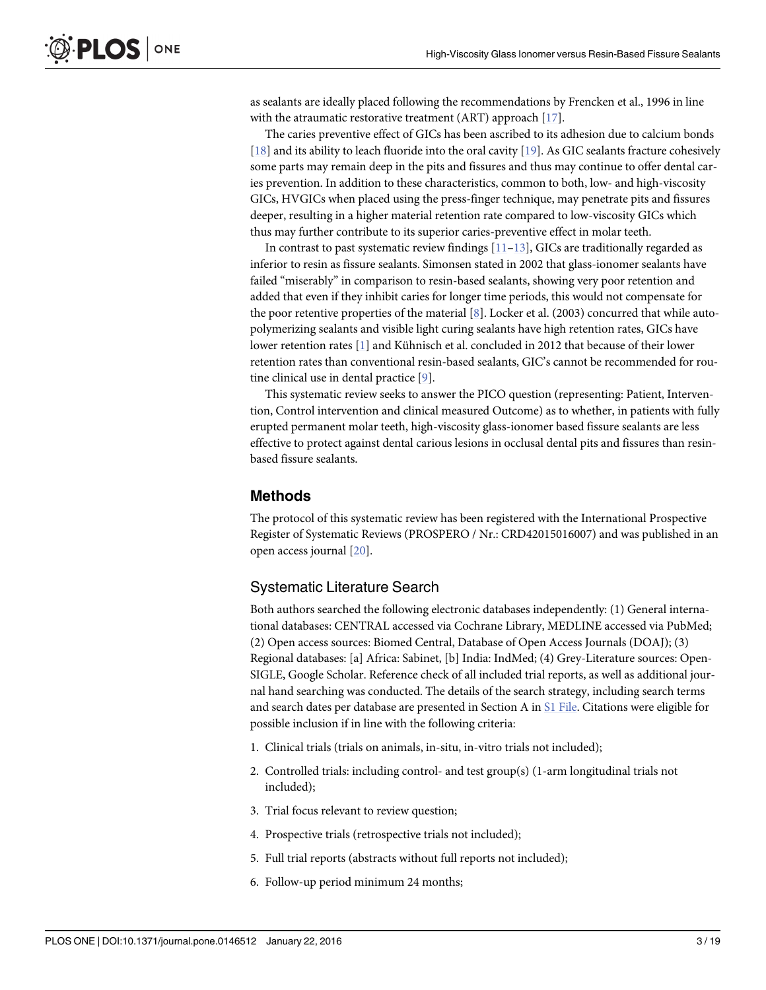<span id="page-2-0"></span>as sealants are ideally placed following the recommendations by Frencken et al., 1996 in line with the atraumatic restorative treatment (ART) approach  $[17]$ .

The caries preventive effect of GICs has been ascribed to its adhesion due to calcium bonds [\[18](#page-17-0)] and its ability to leach fluoride into the oral cavity [[19](#page-17-0)]. As GIC sealants fracture cohesively some parts may remain deep in the pits and fissures and thus may continue to offer dental caries prevention. In addition to these characteristics, common to both, low- and high-viscosity GICs, HVGICs when placed using the press-finger technique, may penetrate pits and fissures deeper, resulting in a higher material retention rate compared to low-viscosity GICs which thus may further contribute to its superior caries-preventive effect in molar teeth.

In contrast to past systematic review findings  $[11–13]$  $[11–13]$  $[11–13]$  $[11–13]$  $[11–13]$ , GICs are traditionally regarded as inferior to resin as fissure sealants. Simonsen stated in 2002 that glass-ionomer sealants have failed "miserably" in comparison to resin-based sealants, showing very poor retention and added that even if they inhibit caries for longer time periods, this would not compensate for the poor retentive properties of the material [[8](#page-16-0)]. Locker et al. (2003) concurred that while autopolymerizing sealants and visible light curing sealants have high retention rates, GICs have lower retention rates [\[1](#page-16-0)] and Kühnisch et al. concluded in 2012 that because of their lower retention rates than conventional resin-based sealants, GIC's cannot be recommended for routine clinical use in dental practice  $[9]$  $[9]$ .

This systematic review seeks to answer the PICO question (representing: Patient, Intervention, Control intervention and clinical measured Outcome) as to whether, in patients with fully erupted permanent molar teeth, high-viscosity glass-ionomer based fissure sealants are less effective to protect against dental carious lesions in occlusal dental pits and fissures than resinbased fissure sealants.

### Methods

The protocol of this systematic review has been registered with the International Prospective Register of Systematic Reviews (PROSPERO / Nr.: CRD42015016007) and was published in an open access journal [[20](#page-17-0)].

## Systematic Literature Search

Both authors searched the following electronic databases independently: (1) General international databases: CENTRAL accessed via Cochrane Library, MEDLINE accessed via PubMed; (2) Open access sources: Biomed Central, Database of Open Access Journals (DOAJ); (3) Regional databases: [a] Africa: Sabinet, [b] India: IndMed; (4) Grey-Literature sources: Open-SIGLE, Google Scholar. Reference check of all included trial reports, as well as additional journal hand searching was conducted. The details of the search strategy, including search terms and search dates per database are presented in Section A in [S1 File](#page-16-0). Citations were eligible for possible inclusion if in line with the following criteria:

- 1. Clinical trials (trials on animals, in-situ, in-vitro trials not included);
- 2. Controlled trials: including control- and test group(s) (1-arm longitudinal trials not included);
- 3. Trial focus relevant to review question;
- 4. Prospective trials (retrospective trials not included);
- 5. Full trial reports (abstracts without full reports not included);
- 6. Follow-up period minimum 24 months;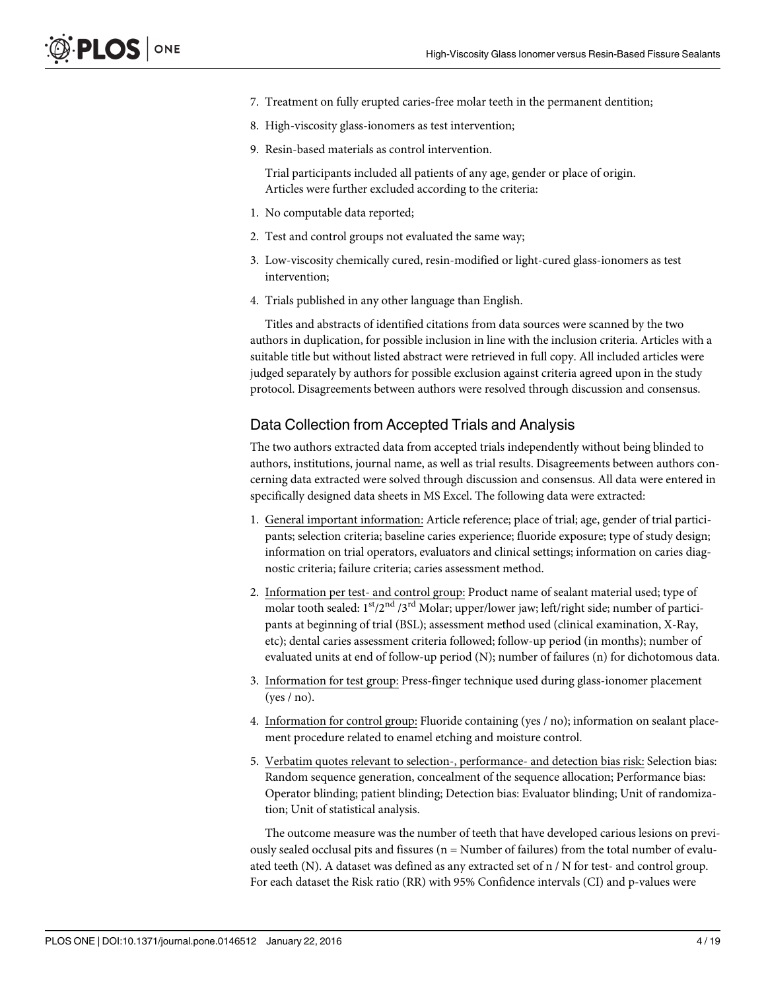- 7. Treatment on fully erupted caries-free molar teeth in the permanent dentition;
- 8. High-viscosity glass-ionomers as test intervention;
- 9. Resin-based materials as control intervention.

Trial participants included all patients of any age, gender or place of origin. Articles were further excluded according to the criteria:

- 1. No computable data reported;
- 2. Test and control groups not evaluated the same way;
- 3. Low-viscosity chemically cured, resin-modified or light-cured glass-ionomers as test intervention;
- 4. Trials published in any other language than English.

Titles and abstracts of identified citations from data sources were scanned by the two authors in duplication, for possible inclusion in line with the inclusion criteria. Articles with a suitable title but without listed abstract were retrieved in full copy. All included articles were judged separately by authors for possible exclusion against criteria agreed upon in the study protocol. Disagreements between authors were resolved through discussion and consensus.

## Data Collection from Accepted Trials and Analysis

The two authors extracted data from accepted trials independently without being blinded to authors, institutions, journal name, as well as trial results. Disagreements between authors concerning data extracted were solved through discussion and consensus. All data were entered in specifically designed data sheets in MS Excel. The following data were extracted:

- 1. General important information: Article reference; place of trial; age, gender of trial participants; selection criteria; baseline caries experience; fluoride exposure; type of study design; information on trial operators, evaluators and clinical settings; information on caries diagnostic criteria; failure criteria; caries assessment method.
- 2. Information per test- and control group: Product name of sealant material used; type of molar tooth sealed:  $1^{st}/2^{nd}/3^{rd}$  Molar; upper/lower jaw; left/right side; number of participants at beginning of trial (BSL); assessment method used (clinical examination, X-Ray, etc); dental caries assessment criteria followed; follow-up period (in months); number of evaluated units at end of follow-up period (N); number of failures (n) for dichotomous data.
- 3. Information for test group: Press-finger technique used during glass-ionomer placement (yes / no).
- 4. Information for control group: Fluoride containing (yes / no); information on sealant placement procedure related to enamel etching and moisture control.
- 5. Verbatim quotes relevant to selection-, performance- and detection bias risk: Selection bias: Random sequence generation, concealment of the sequence allocation; Performance bias: Operator blinding; patient blinding; Detection bias: Evaluator blinding; Unit of randomization; Unit of statistical analysis.

The outcome measure was the number of teeth that have developed carious lesions on previously sealed occlusal pits and fissures ( $n =$  Number of failures) from the total number of evaluated teeth (N). A dataset was defined as any extracted set of n / N for test- and control group. For each dataset the Risk ratio (RR) with 95% Confidence intervals (CI) and p-values were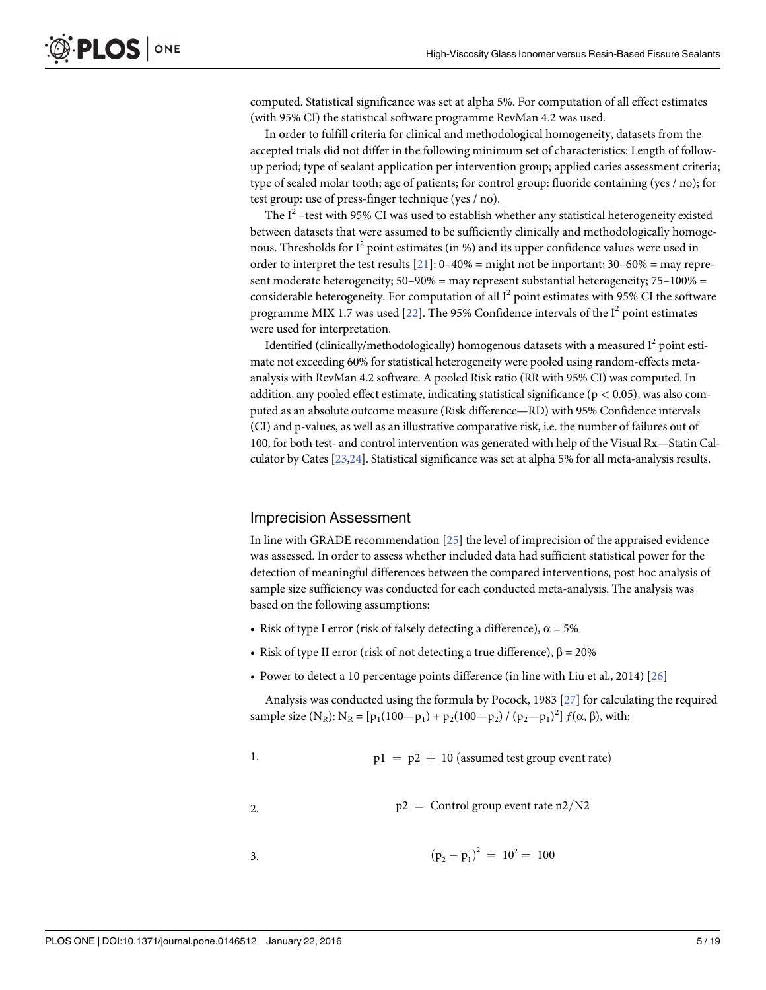<span id="page-4-0"></span>computed. Statistical significance was set at alpha 5%. For computation of all effect estimates (with 95% CI) the statistical software programme RevMan 4.2 was used.

In order to fulfill criteria for clinical and methodological homogeneity, datasets from the accepted trials did not differ in the following minimum set of characteristics: Length of followup period; type of sealant application per intervention group; applied caries assessment criteria; type of sealed molar tooth; age of patients; for control group: fluoride containing (yes / no); for test group: use of press-finger technique (yes / no).

The  $I^2$  –test with 95% CI was used to establish whether any statistical heterogeneity existed between datasets that were assumed to be sufficiently clinically and methodologically homogenous. Thresholds for  $I^2$  point estimates (in %) and its upper confidence values were used in order to interpret the test results  $[21]$  $[21]$  $[21]$ :  $0-40\%$  = might not be important;  $30-60\%$  = may represent moderate heterogeneity; 50–90% = may represent substantial heterogeneity; 75–100% = considerable heterogeneity. For computation of all  $I^2$  point estimates with 95% CI the software programme MIX 1.7 was used [[22](#page-17-0)]. The 95% Confidence intervals of the  $I^2$  point estimates were used for interpretation.

Identified (clinically/methodologically) homogenous datasets with a measured  $I^2$  point estimate not exceeding 60% for statistical heterogeneity were pooled using random-effects metaanalysis with RevMan 4.2 software. A pooled Risk ratio (RR with 95% CI) was computed. In addition, any pooled effect estimate, indicating statistical significance ( $p < 0.05$ ), was also computed as an absolute outcome measure (Risk difference—RD) with 95% Confidence intervals (CI) and p-values, as well as an illustrative comparative risk, i.e. the number of failures out of 100, for both test- and control intervention was generated with help of the Visual Rx—Statin Calculator by Cates [\[23](#page-17-0),[24\]](#page-17-0). Statistical significance was set at alpha 5% for all meta-analysis results.

#### Imprecision Assessment

In line with GRADE recommendation  $[25]$  the level of imprecision of the appraised evidence was assessed. In order to assess whether included data had sufficient statistical power for the detection of meaningful differences between the compared interventions, post hoc analysis of sample size sufficiency was conducted for each conducted meta-analysis. The analysis was based on the following assumptions:

- Risk of type I error (risk of falsely detecting a difference),  $\alpha = 5\%$
- Risk of type II error (risk of not detecting a true difference),  $\beta = 20\%$
- Power to detect a 10 percentage points difference (in line with Liu et al., 2014) [[26](#page-17-0)]

Analysis was conducted using the formula by Pocock, 1983 [[27\]](#page-17-0) for calculating the required sample size (N<sub>R</sub>): N<sub>R</sub> = [p<sub>1</sub>(100--p<sub>1</sub>) + p<sub>2</sub>(100--p<sub>2</sub>) / (p<sub>2</sub>--p<sub>1</sub>)<sup>2</sup>]  $f(\alpha, \beta)$ , with:

1. 
$$
p1 = p2 + 10
$$
 (assumed test group event rate)

$$
p2 = Control group event rate n2/N2
$$

3. 
$$
(p_2 - p_1)^2 = 10^2 = 100
$$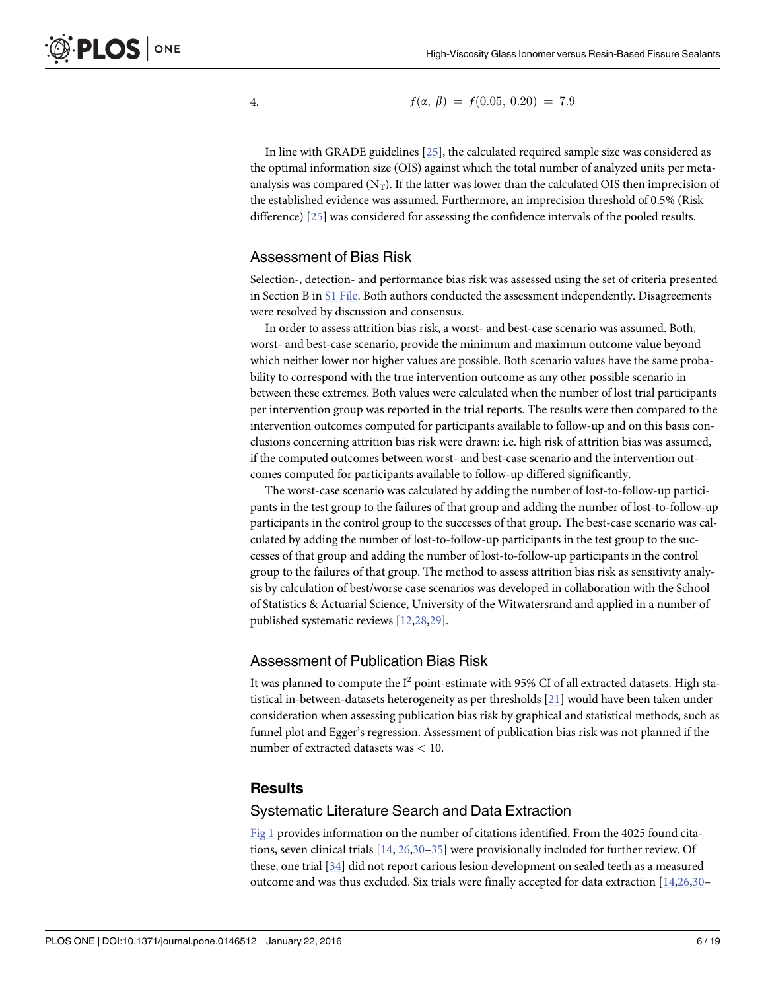<span id="page-5-0"></span>4.  $f(\alpha, \beta) = f(0.05, 0.20) = 7.9$ 

In line with GRADE guidelines [[25](#page-17-0)], the calculated required sample size was considered as the optimal information size (OIS) against which the total number of analyzed units per metaanalysis was compared  $(N_T)$ . If the latter was lower than the calculated OIS then imprecision of the established evidence was assumed. Furthermore, an imprecision threshold of 0.5% (Risk difference) [\[25](#page-17-0)] was considered for assessing the confidence intervals of the pooled results.

## Assessment of Bias Risk

Selection-, detection- and performance bias risk was assessed using the set of criteria presented in Section B in  $S1$  File. Both authors conducted the assessment independently. Disagreements were resolved by discussion and consensus.

In order to assess attrition bias risk, a worst- and best-case scenario was assumed. Both, worst- and best-case scenario, provide the minimum and maximum outcome value beyond which neither lower nor higher values are possible. Both scenario values have the same probability to correspond with the true intervention outcome as any other possible scenario in between these extremes. Both values were calculated when the number of lost trial participants per intervention group was reported in the trial reports. The results were then compared to the intervention outcomes computed for participants available to follow-up and on this basis conclusions concerning attrition bias risk were drawn: i.e. high risk of attrition bias was assumed, if the computed outcomes between worst- and best-case scenario and the intervention outcomes computed for participants available to follow-up differed significantly.

The worst-case scenario was calculated by adding the number of lost-to-follow-up participants in the test group to the failures of that group and adding the number of lost-to-follow-up participants in the control group to the successes of that group. The best-case scenario was calculated by adding the number of lost-to-follow-up participants in the test group to the successes of that group and adding the number of lost-to-follow-up participants in the control group to the failures of that group. The method to assess attrition bias risk as sensitivity analysis by calculation of best/worse case scenarios was developed in collaboration with the School of Statistics & Actuarial Science, University of the Witwatersrand and applied in a number of published systematic reviews [[12,28](#page-17-0),[29](#page-17-0)].

## Assessment of Publication Bias Risk

It was planned to compute the  $I^2$  point-estimate with 95% CI of all extracted datasets. High statistical in-between-datasets heterogeneity as per thresholds [\[21\]](#page-17-0) would have been taken under consideration when assessing publication bias risk by graphical and statistical methods, such as funnel plot and Egger's regression. Assessment of publication bias risk was not planned if the number of extracted datasets was < 10.

## **Results**

## Systematic Literature Search and Data Extraction

[Fig 1](#page-6-0) provides information on the number of citations identified. From the 4025 found citations, seven clinical trials [\[14,](#page-17-0) [26,30](#page-17-0)–[35](#page-18-0)] were provisionally included for further review. Of these, one trial [\[34\]](#page-18-0) did not report carious lesion development on sealed teeth as a measured outcome and was thus excluded. Six trials were finally accepted for data extraction  $[14,26,30 [14,26,30 [14,26,30 [14,26,30 [14,26,30-$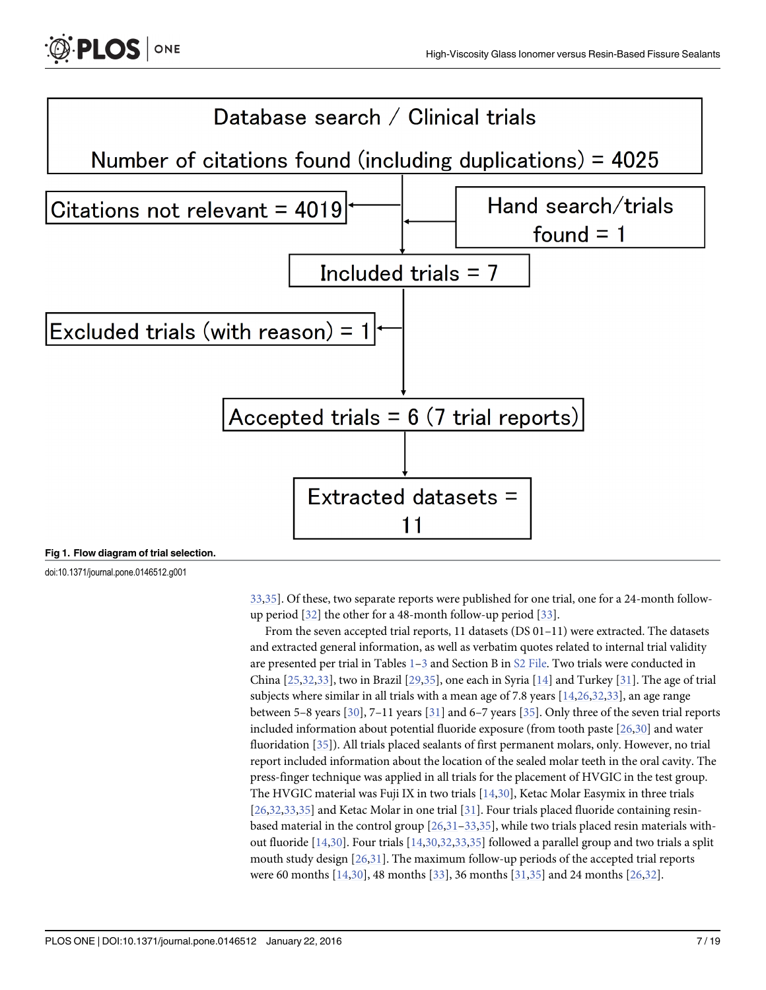<span id="page-6-0"></span>

[Fig 1. F](#page-5-0)low diagram of trial selection.

doi:10.1371/journal.pone.0146512.g001

[33,](#page-17-0)[35](#page-18-0)]. Of these, two separate reports were published for one trial, one for a 24-month followup period [\[32\]](#page-17-0) the other for a 48-month follow-up period [\[33\]](#page-17-0).

From the seven accepted trial reports, 11 datasets (DS 01–11) were extracted. The datasets and extracted general information, as well as verbatim quotes related to internal trial validity are presented per trial in Tables  $1-3$  $1-3$  $1-3$  and Section B in  $S2$  File. Two trials were conducted in China  $[25,32,33]$  $[25,32,33]$  $[25,32,33]$ , two in Brazil  $[29,35]$  $[29,35]$  $[29,35]$  $[29,35]$ , one each in Syria  $[14]$  $[14]$  and Turkey  $[31]$  $[31]$  $[31]$ . The age of trial subjects where similar in all trials with a mean age of 7.8 years [[14](#page-17-0),[26,32,33\]](#page-17-0), an age range between 5–8 years  $[30]$  $[30]$  $[30]$ , 7–11 years  $[31]$  $[31]$  and 6–7 years  $[35]$ . Only three of the seven trial reports included information about potential fluoride exposure (from tooth paste  $[26,30]$  $[26,30]$  $[26,30]$  $[26,30]$  $[26,30]$  and water fluoridation [\[35\]](#page-18-0)). All trials placed sealants of first permanent molars, only. However, no trial report included information about the location of the sealed molar teeth in the oral cavity. The press-finger technique was applied in all trials for the placement of HVGIC in the test group. The HVGIC material was Fuji IX in two trials [\[14,30](#page-17-0)], Ketac Molar Easymix in three trials [\[26,32,33,](#page-17-0)[35](#page-18-0)] and Ketac Molar in one trial [\[31\]](#page-17-0). Four trials placed fluoride containing resinbased material in the control group  $[26,31-33,35]$  $[26,31-33,35]$  $[26,31-33,35]$  $[26,31-33,35]$  $[26,31-33,35]$ , while two trials placed resin materials without fluoride  $[14,30]$ . Four trials  $[14,30,32,33,35]$  $[14,30,32,33,35]$  $[14,30,32,33,35]$  $[14,30,32,33,35]$  $[14,30,32,33,35]$  followed a parallel group and two trials a split mouth study design  $[26,31]$  $[26,31]$ . The maximum follow-up periods of the accepted trial reports were 60 months [[14,30](#page-17-0)], 48 months [\[33\]](#page-17-0), 36 months [[31](#page-17-0)[,35\]](#page-18-0) and 24 months [[26](#page-17-0),[32](#page-17-0)].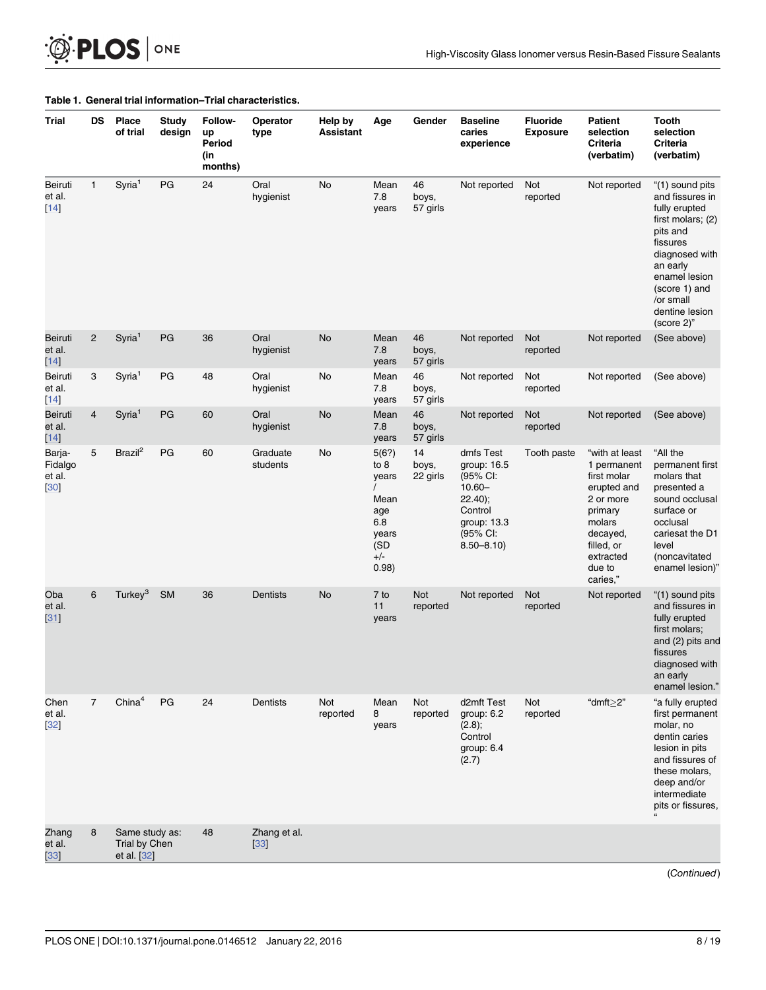<span id="page-7-0"></span>

| Trial                              | DS             | Place<br>of trial                              | <b>Study</b><br>design | Follow-<br>up<br>Period<br>(in<br>months) | Operator<br>type       | Help by<br><b>Assistant</b> | Age                                                                              | Gender                  | <b>Baseline</b><br>caries<br>experience                                                                                 | <b>Fluoride</b><br><b>Exposure</b> | <b>Patient</b><br>selection<br>Criteria<br>(verbatim)                                                                                                      | <b>Tooth</b><br>selection<br><b>Criteria</b><br>(verbatim)                                                                                                                                                    |
|------------------------------------|----------------|------------------------------------------------|------------------------|-------------------------------------------|------------------------|-----------------------------|----------------------------------------------------------------------------------|-------------------------|-------------------------------------------------------------------------------------------------------------------------|------------------------------------|------------------------------------------------------------------------------------------------------------------------------------------------------------|---------------------------------------------------------------------------------------------------------------------------------------------------------------------------------------------------------------|
| Beiruti<br>et al.<br>$14$          | $\mathbf{1}$   | $S$ vria <sup>1</sup>                          | PG                     | 24                                        | Oral<br>hygienist      | No                          | Mean<br>7.8<br>years                                                             | 46<br>boys,<br>57 girls | Not reported                                                                                                            | Not<br>reported                    | Not reported                                                                                                                                               | "(1) sound pits<br>and fissures in<br>fully erupted<br>first molars; (2)<br>pits and<br>fissures<br>diagnosed with<br>an early<br>enamel lesion<br>(score 1) and<br>/or small<br>dentine lesion<br>(score 2)" |
| Beiruti<br>et al.<br>$14$          | $\overline{c}$ | Syria <sup>1</sup>                             | PG                     | 36                                        | Oral<br>hygienist      | <b>No</b>                   | Mean<br>7.8<br>years                                                             | 46<br>boys,<br>57 girls | Not reported                                                                                                            | Not<br>reported                    | Not reported                                                                                                                                               | (See above)                                                                                                                                                                                                   |
| Beiruti<br>et al.<br>$[14]$        | 3              | Syria <sup>1</sup>                             | PG                     | 48                                        | Oral<br>hygienist      | No                          | Mean<br>7.8<br>years                                                             | 46<br>boys,<br>57 girls | Not reported                                                                                                            | Not<br>reported                    | Not reported                                                                                                                                               | (See above)                                                                                                                                                                                                   |
| <b>Beiruti</b><br>et al.<br>$[14]$ | $\overline{4}$ | Syria <sup>1</sup>                             | PG                     | 60                                        | Oral<br>hygienist      | No                          | Mean<br>7.8<br>years                                                             | 46<br>boys,<br>57 girls | Not reported                                                                                                            | Not<br>reported                    | Not reported                                                                                                                                               | (See above)                                                                                                                                                                                                   |
| Barja-<br>Fidalgo<br>et al.<br>30  | 5              | Brazil <sup>2</sup>                            | PG                     | 60                                        | Graduate<br>students   | No                          | 5(6?)<br>to $8$<br>years<br>Mean<br>age<br>6.8<br>years<br>(SD<br>$+/-$<br>0.98) | 14<br>boys,<br>22 girls | dmfs Test<br>group: 16.5<br>(95% CI:<br>$10.60 -$<br>$22.40$ ;<br>Control<br>group: $13.3$<br>(95% CI:<br>$8.50 - 8.10$ | Tooth paste                        | "with at least<br>1 permanent<br>first molar<br>erupted and<br>2 or more<br>primary<br>molars<br>decayed,<br>filled, or<br>extracted<br>due to<br>caries," | "All the<br>permanent first<br>molars that<br>presented a<br>sound occlusal<br>surface or<br>occlusal<br>cariesat the D1<br>level<br>(noncavitated<br>enamel lesion)"                                         |
| Oba<br>et al.<br>31                | 6              | Turkey <sup>3</sup>                            | <b>SM</b>              | 36                                        | Dentists               | No                          | 7 to<br>11<br>years                                                              | Not<br>reported         | Not reported                                                                                                            | Not<br>reported                    | Not reported                                                                                                                                               | "(1) sound pits<br>and fissures in<br>fully erupted<br>first molars;<br>and (2) pits and<br>fissures<br>diagnosed with<br>an early<br>enamel lesion."                                                         |
| Chen<br>et al.<br>32               | $\overline{7}$ | China <sup>4</sup>                             | PG                     | 24                                        | <b>Dentists</b>        | Not<br>reported             | Mean<br>8<br>years                                                               | Not<br>reported         | d2mft Test<br>group: 6.2<br>(2.8);<br>Control<br>group: $6.4$<br>(2.7)                                                  | Not<br>reported                    | "dmft $\geq$ 2"                                                                                                                                            | "a fully erupted<br>first permanent<br>molar, no<br>dentin caries<br>lesion in pits<br>and fissures of<br>these molars,<br>deep and/or<br>intermediate<br>pits or fissures,                                   |
| Zhang<br>et al.<br>33              | 8              | Same study as:<br>Trial by Chen<br>et al. [32] |                        | 48                                        | Zhang et al.<br>$[33]$ |                             |                                                                                  |                         |                                                                                                                         |                                    |                                                                                                                                                            |                                                                                                                                                                                                               |

#### [Table 1.](#page-6-0) General trial information–Trial characteristics.

(Continued)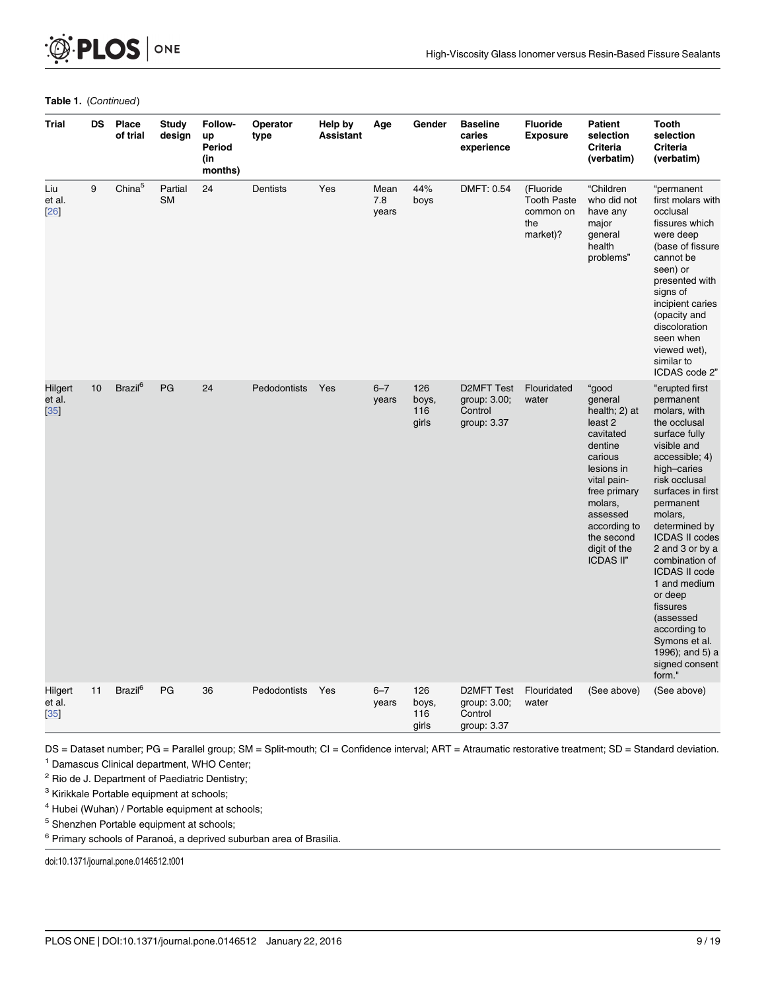

#### Table 1. (Continued)

| <b>Trial</b>            | DS | Place<br>of trial   | <b>Study</b><br>design | Follow-<br>up<br>Period<br>(in<br>months) | Operator<br>type    | Help by<br><b>Assistant</b> | Age                  | Gender                       | <b>Baseline</b><br>caries<br>experience                     | <b>Fluoride</b><br><b>Exposure</b>                              | <b>Patient</b><br>selection<br><b>Criteria</b><br>(verbatim)                                                                                                                                                                     | <b>Tooth</b><br>selection<br><b>Criteria</b><br>(verbatim)                                                                                                                                                                                                                                                                                                                                                                            |
|-------------------------|----|---------------------|------------------------|-------------------------------------------|---------------------|-----------------------------|----------------------|------------------------------|-------------------------------------------------------------|-----------------------------------------------------------------|----------------------------------------------------------------------------------------------------------------------------------------------------------------------------------------------------------------------------------|---------------------------------------------------------------------------------------------------------------------------------------------------------------------------------------------------------------------------------------------------------------------------------------------------------------------------------------------------------------------------------------------------------------------------------------|
| Liu<br>et al.<br>[26]   | 9  | China <sup>5</sup>  | Partial<br><b>SM</b>   | 24                                        | Dentists            | Yes                         | Mean<br>7.8<br>years | 44%<br>boys                  | DMFT: 0.54                                                  | (Fluoride<br><b>Tooth Paste</b><br>common on<br>the<br>market)? | "Children<br>who did not<br>have any<br>major<br>general<br>health<br>problems"                                                                                                                                                  | "permanent<br>first molars with<br>occlusal<br>fissures which<br>were deep<br>(base of fissure<br>cannot be<br>seen) or<br>presented with<br>signs of<br>incipient caries<br>(opacity and<br>discoloration<br>seen when<br>viewed wet),<br>similar to<br>ICDAS code 2"                                                                                                                                                                |
| Hilgert<br>et al.<br>35 | 10 | Brazil <sup>6</sup> | PG                     | 24                                        | <b>Pedodontists</b> | Yes                         | $6 - 7$<br>years     | 126<br>boys,<br>116<br>girls | <b>D2MFT Test</b><br>group: 3.00;<br>Control<br>group: 3.37 | Flouridated<br>water                                            | "good<br>general<br>health; 2) at<br>least <sub>2</sub><br>cavitated<br>dentine<br>carious<br>lesions in<br>vital pain-<br>free primary<br>molars,<br>assessed<br>according to<br>the second<br>digit of the<br><b>ICDAS II"</b> | "erupted first<br>permanent<br>molars, with<br>the occlusal<br>surface fully<br>visible and<br>accessible; 4)<br>high-caries<br>risk occlusal<br>surfaces in first<br>permanent<br>molars,<br>determined by<br><b>ICDAS II codes</b><br>2 and 3 or by a<br>combination of<br><b>ICDAS II code</b><br>1 and medium<br>or deep<br>fissures<br>(assessed<br>according to<br>Symons et al.<br>1996); and 5) a<br>signed consent<br>form." |
| Hilgert<br>et al.<br>35 | 11 | Brazil <sup>6</sup> | PG                     | 36                                        | Pedodontists        | Yes                         | $6 - 7$<br>years     | 126<br>boys,<br>116<br>girls | D2MFT Test<br>group: 3.00;<br>Control<br>group: 3.37        | Flouridated<br>water                                            | (See above)                                                                                                                                                                                                                      | (See above)                                                                                                                                                                                                                                                                                                                                                                                                                           |

DS = Dataset number; PG = Parallel group; SM = Split-mouth; CI = Confidence interval; ART = Atraumatic restorative treatment; SD = Standard deviation. <sup>1</sup> Damascus Clinical department, WHO Center;

<sup>2</sup> Rio de J. Department of Paediatric Dentistry;

<sup>3</sup> Kirikkale Portable equipment at schools;

<sup>4</sup> Hubei (Wuhan) / Portable equipment at schools;

<sup>5</sup> Shenzhen Portable equipment at schools;

 $6$  Primary schools of Paranoá, a deprived suburban area of Brasilia.

doi:10.1371/journal.pone.0146512.t001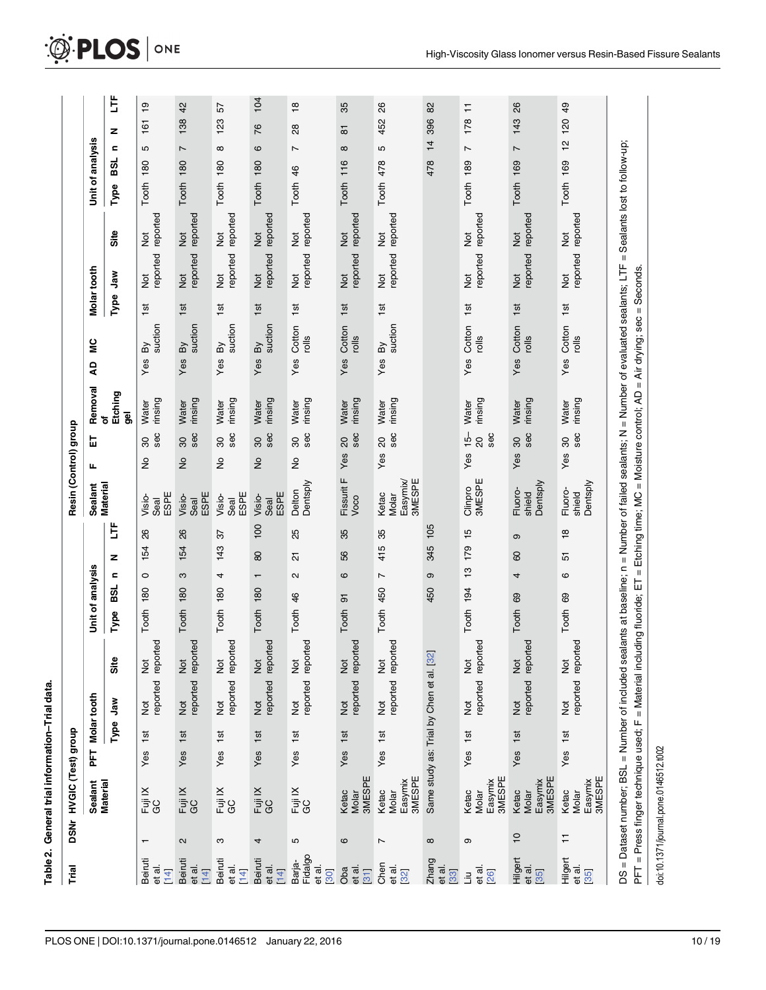| Trial                             |                   | DSNr HVGIC (Test) group                                                                                                                                                                                                                                                                   |     |      |                                          |                                              |                  |                |                     |                          |                | Resin (Control) group                      |               |                                       |                   |                        |               |                |                           |                               |                  |            |                |                 |               |
|-----------------------------------|-------------------|-------------------------------------------------------------------------------------------------------------------------------------------------------------------------------------------------------------------------------------------------------------------------------------------|-----|------|------------------------------------------|----------------------------------------------|------------------|----------------|---------------------|--------------------------|----------------|--------------------------------------------|---------------|---------------------------------------|-------------------|------------------------|---------------|----------------|---------------------------|-------------------------------|------------------|------------|----------------|-----------------|---------------|
|                                   |                   | Sealant<br>Material                                                                                                                                                                                                                                                                       |     |      | PFT Molar tooth                          |                                              | Unit of analysis |                |                     |                          |                | <b>Material</b><br><b>Sealant</b>          | щ.            | こ                                     | Removal<br>৳      | Σ<br>ą                 |               | Molar tooth    |                           |                               | Unit of analysis |            |                |                 |               |
|                                   |                   |                                                                                                                                                                                                                                                                                           |     | Type | Jaw                                      | Site                                         | Type             | <b>BSL</b>     | c                   | z                        | Ë              |                                            |               |                                       | Etching<br>g<br>9 |                        |               | Jaw<br>Type    | Site                      |                               | Type             | <b>BSL</b> | c              | z               | Ë             |
| Beiruti<br>et al.<br>[14]         | $\mathbf -$       | Fuji IX<br>GC                                                                                                                                                                                                                                                                             | Yes | 1st  | reported<br>$\frac{5}{2}$                | Ted<br>report<br>$\rm \overline{5}$          | Tooth            | 180            | $\circ$             | 154                      | 88             | ESPE<br>Visio-<br>Seal                     | ş             | <b>Sec</b><br>80                      | rinsing<br>Water  | suction<br>Βy<br>Yes   | 1st           | $\overline{5}$ | $\frac{1}{2}$<br>reported | reported                      | Tooth            | 180        | ю              | 161             | ٩P            |
| Beiruti<br>et al.<br>[14]         | $\mathbf{\Omega}$ | Fuji K<br>GC                                                                                                                                                                                                                                                                              | Yes | 151  | reported<br>ğ                            | reported<br>Not                              | Tooth            | 180            | S                   | 154                      | 26             | ESPE<br>Visio-<br>Seal                     | $\frac{1}{2}$ | sec<br>30                             | rinsing<br>Water  | suction<br>By<br>Yes   | 1st           | <b>Not</b>     | $\frac{1}{2}$<br>reported | reported                      | Tooth 180        |            | $\overline{ }$ | 138             | 42            |
| Beiruti<br>et al.<br>$[14]$       | S                 | Fuji IX<br>GC                                                                                                                                                                                                                                                                             | Yes | 151  | reported<br>$\frac{1}{2}$                | ted<br>report<br>$\frac{1}{2}$               | Tooth 180        |                | 4                   | 143                      | 57             | ESPE<br>Visio-<br>Seal                     | $\frac{1}{2}$ | sec<br>80                             | rinsing<br>Water  | suction<br>By<br>Yes   | 15t           | <b>Not</b>     | $\frac{1}{2}$<br>reported | reported                      | Tooth 180        |            | ${}^{\circ}$   | 123             | 57            |
| Beiruti<br>et al.<br>14           | 4                 | Fuji K<br>GC                                                                                                                                                                                                                                                                              | Yes | 1st  | reported<br>Þ                            | <b>led</b><br>report<br>Not                  | Tooth 180        |                | $\overline{ }$      | 80                       | 100            | ESPE<br>Visio-<br>Seal                     | ş             | sec<br>30                             | rinsing<br>Water  | suction<br>By<br>Yes   | 1st           | $\frac{1}{2}$  | $\frac{1}{2}$<br>reported | reported                      | Tooth 180        |            | ဖ              | 76              | 104           |
| Fidalgo<br>Barja-<br>et al.<br>30 | Б                 | Fuji IX<br>GC                                                                                                                                                                                                                                                                             | Yes | 1st  | reported<br>ğ                            | reported<br><b>Not</b>                       | Tooth            | 46             | $\boldsymbol{\sim}$ | $\overline{\mathcal{L}}$ | 25             | Dentsply<br>Delton                         | $\frac{1}{2}$ | <b>Sec</b><br>90                      | rinsing<br>Water  | Cotton<br>rolls<br>Yes | 151           | $\frac{1}{2}$  | $\frac{1}{2}$<br>reported | reported                      | Tooth 46         |            | $\overline{ }$ | 28              | $\frac{8}{1}$ |
| Oba<br>et al.<br> 31              | 6                 | <b>3MESPE</b><br>Ketac<br>Molar                                                                                                                                                                                                                                                           | Yes | 1st  | reported<br>$\frac{1}{2}$                | ted<br>report<br>$\frac{1}{2}$               | Tooth            | $\overline{5}$ | 6                   | 56                       | 35             | Fissurit F<br>Voco                         | Yes           | sec<br>20                             | rinsing<br>Water  | Cotton<br>rolls<br>Yes | 1st           | $\frac{1}{2}$  | $\frac{1}{2}$<br>reported | reported                      | Tooth 116        |            | $\infty$       | 5               | 35            |
| Chen<br>et al.<br>32              | $\overline{ }$    | <b>3MESPE</b><br>Easymix<br>Ketac<br>Molar                                                                                                                                                                                                                                                | Yes | 1st  | ğ                                        | reported reported<br>$\overline{\mathsf{B}}$ | Tooth 450        |                | L                   | 415                      | 35             | <b>3MESPE</b><br>Easymix<br>Ketac<br>Molar | Yes           | sec<br>$\Omega$                       | rinsing<br>Water  | suction<br>Вy<br>Yes   | 151           | $\frac{5}{2}$  | ğ<br>reported             | reported                      | Tooth 478        |            | 5              | 452             | 26            |
| Zhang<br>et al<br>[33]            | $\infty$          |                                                                                                                                                                                                                                                                                           |     |      | Same study as: Trial by Chen et al. [32] |                                              |                  | 450            | თ                   | 345                      | 105            |                                            |               |                                       |                   |                        |               |                |                           |                               |                  | 478        | $\overline{4}$ | 396             | 82            |
| et al<br>26<br>Ξ.                 | თ                 | <b>3MESPE</b><br>Easymix<br>Ketac<br>Molar                                                                                                                                                                                                                                                | Yes | 1st  | reported report<br>$\frac{1}{2}$         | <b>P</b> e<br>$\frac{1}{2}$                  | Tooth 194        |                |                     | 13 179                   | $\frac{15}{2}$ | <b>3MESPE</b><br>Clinpro                   | Yes           | $15-$<br><b>Sec</b><br>$\overline{a}$ | rinsing<br>Water  | Cotton<br>rolls<br>Yes | $\frac{1}{2}$ | $\frac{1}{2}$  | ğ<br>reported             | reported                      | Tooth 189        |            | L              | 178             | H             |
| Hilgert<br>et al.<br>35           | $\overline{0}$    | <b>3MESPE</b><br>Easymix<br>Ketac<br>Molar                                                                                                                                                                                                                                                | Yes | 151  | reported report<br>$\frac{1}{2}$         | ted<br>$\frac{1}{2}$                         | Tooth 69         |                | 4                   | 60                       | တ              | Dentsply<br>Fluoro-<br>shield              | Yes           | sec<br>30                             | rinsing<br>Water  | Cotton<br>rolls<br>Yes | 15t           | $\frac{1}{2}$  | $\frac{1}{2}$<br>reported | reported                      | Tooth 169        |            | $\overline{ }$ | $\frac{143}{ }$ | 82            |
| Hilgert<br>et al.<br>35           | Ξ                 | Easymix<br>3MESPE<br>Ketac<br>Molar                                                                                                                                                                                                                                                       | Yes | 1st  | $\frac{1}{2}$                            | reported reported<br>$\frac{5}{2}$           | Tooth            | 69             | ဖ                   | 51                       | $\frac{8}{1}$  | Dentsply<br>Fluoro-<br>shield              | Yes           | <b>Sec</b><br>80                      | rinsing<br>Water  | Cotton<br>rolls<br>Yes | 15t           | $\frac{1}{2}$  | reported reported<br>ă    |                               | Tooth 169        |            | $\frac{1}{2}$  | 120 49          |               |
|                                   |                   | DS = Dataset number; BSL = Number of included sealants at baseline; n = Number of failed sealants; N = Number of evaluated sealants; LTF<br>PFT = Press finger technique used; F = Material including fluoride; ET = Etching time; MC = Moisture control; AD = Air drying; sec = Seconds. |     |      |                                          |                                              |                  |                |                     |                          |                |                                            |               |                                       |                   |                        |               |                |                           | = Sealants lost to follow-up; |                  |            |                |                 |               |

PLOS ONE | DOI:10.1371/journal.pone.0146512 January 22, 2016 10 / 19

# <span id="page-9-0"></span>O PLOS ONE

doi:10.1371/journal.pone.0146512.t002

doi:10.1371/journal.pone.0146512.t002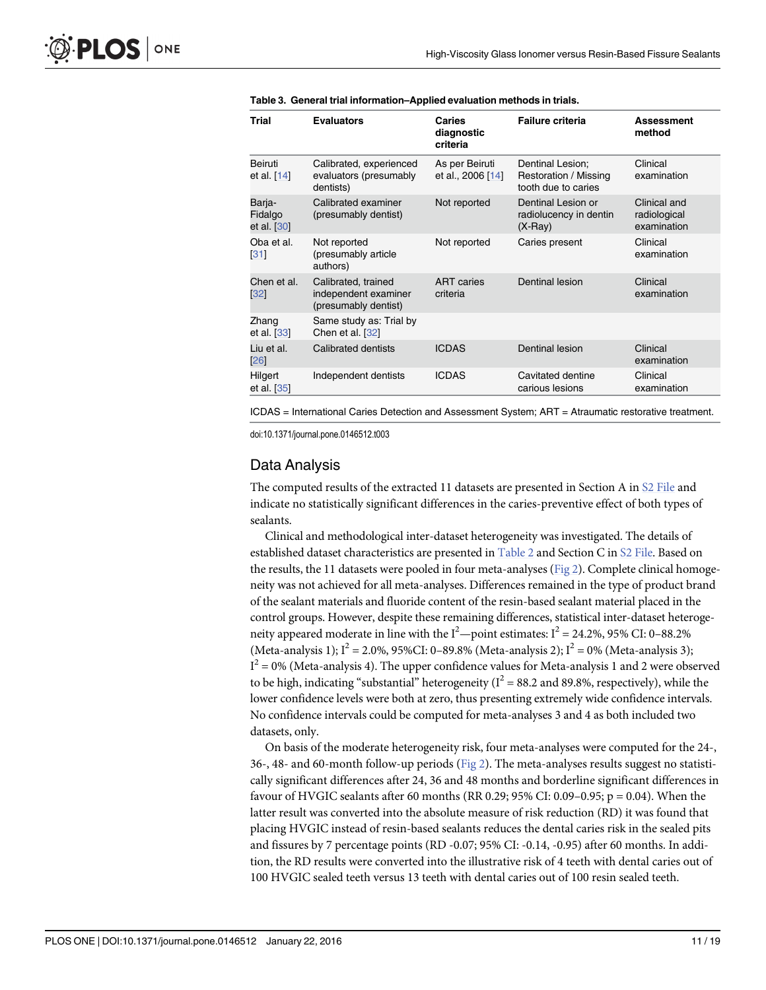| Trial                            | <b>Evaluators</b>                                                   | Caries<br>diagnostic<br>criteria    | <b>Failure criteria</b>                                          | <b>Assessment</b><br>method                 |
|----------------------------------|---------------------------------------------------------------------|-------------------------------------|------------------------------------------------------------------|---------------------------------------------|
| Beiruti<br>et al. [14]           | Calibrated, experienced<br>evaluators (presumably<br>dentists)      | As per Beiruti<br>et al., 2006 [14] | Dentinal Lesion;<br>Restoration / Missing<br>tooth due to caries | Clinical<br>examination                     |
| Barja-<br>Fidalgo<br>et al. [30] | Calibrated examiner<br>(presumably dentist)                         | Not reported                        | Dentinal Lesion or<br>radiolucency in dentin<br>$(X-Rav)$        | Clinical and<br>radiological<br>examination |
| Oba et al.<br>$\left 31\right $  | Not reported<br>(presumably article<br>authors)                     | Not reported                        | Caries present                                                   | Clinical<br>examination                     |
| Chen et al.<br>$\sqrt{32}$       | Calibrated, trained<br>independent examiner<br>(presumably dentist) | <b>ART</b> caries<br>criteria       | Dentinal lesion                                                  | Clinical<br>examination                     |
| Zhang<br>et al. [33]             | Same study as: Trial by<br>Chen et al. [32]                         |                                     |                                                                  |                                             |
| Liu et al.<br>26                 | Calibrated dentists                                                 | <b>ICDAS</b>                        | Dentinal lesion                                                  | Clinical<br>examination                     |
| Hilgert<br>et al. [35]           | Independent dentists                                                | <b>ICDAS</b>                        | Cavitated dentine<br>carious lesions                             | Clinical<br>examination                     |

<span id="page-10-0"></span>[Table 3.](#page-6-0) General trial information–Applied evaluation methods in trials.

ICDAS = International Caries Detection and Assessment System; ART = Atraumatic restorative treatment.

doi:10.1371/journal.pone.0146512.t003

## Data Analysis

The computed results of the extracted 11 datasets are presented in Section A in [S2 File](#page-16-0) and indicate no statistically significant differences in the caries-preventive effect of both types of sealants.

Clinical and methodological inter-dataset heterogeneity was investigated. The details of established dataset characteristics are presented in [Table 2](#page-9-0) and Section C in [S2 File.](#page-16-0) Based on the results, the 11 datasets were pooled in four meta-analyses [\(Fig 2](#page-11-0)). Complete clinical homogeneity was not achieved for all meta-analyses. Differences remained in the type of product brand of the sealant materials and fluoride content of the resin-based sealant material placed in the control groups. However, despite these remaining differences, statistical inter-dataset heterogeneity appeared moderate in line with the I<sup>2</sup>—point estimates: I<sup>2</sup> = 24.2%, 95% CI: 0-88.2% (Meta-analysis 1);  $I^2 = 2.0\%$ , 95%CI: 0–89.8% (Meta-analysis 2);  $I^2 = 0\%$  (Meta-analysis 3);  $I^2 = 0$ % (Meta-analysis 4). The upper confidence values for Meta-analysis 1 and 2 were observed to be high, indicating "substantial" heterogeneity ( $I^2 = 88.2$  and 89.8%, respectively), while the lower confidence levels were both at zero, thus presenting extremely wide confidence intervals. No confidence intervals could be computed for meta-analyses 3 and 4 as both included two datasets, only.

On basis of the moderate heterogeneity risk, four meta-analyses were computed for the 24-, 36-, 48- and 60-month follow-up periods ( $Fig 2$ ). The meta-analyses results suggest no statistically significant differences after 24, 36 and 48 months and borderline significant differences in favour of HVGIC sealants after 60 months (RR 0.29; 95% CI: 0.09-0.95;  $p = 0.04$ ). When the latter result was converted into the absolute measure of risk reduction (RD) it was found that placing HVGIC instead of resin-based sealants reduces the dental caries risk in the sealed pits and fissures by 7 percentage points (RD -0.07; 95% CI: -0.14, -0.95) after 60 months. In addition, the RD results were converted into the illustrative risk of 4 teeth with dental caries out of 100 HVGIC sealed teeth versus 13 teeth with dental caries out of 100 resin sealed teeth.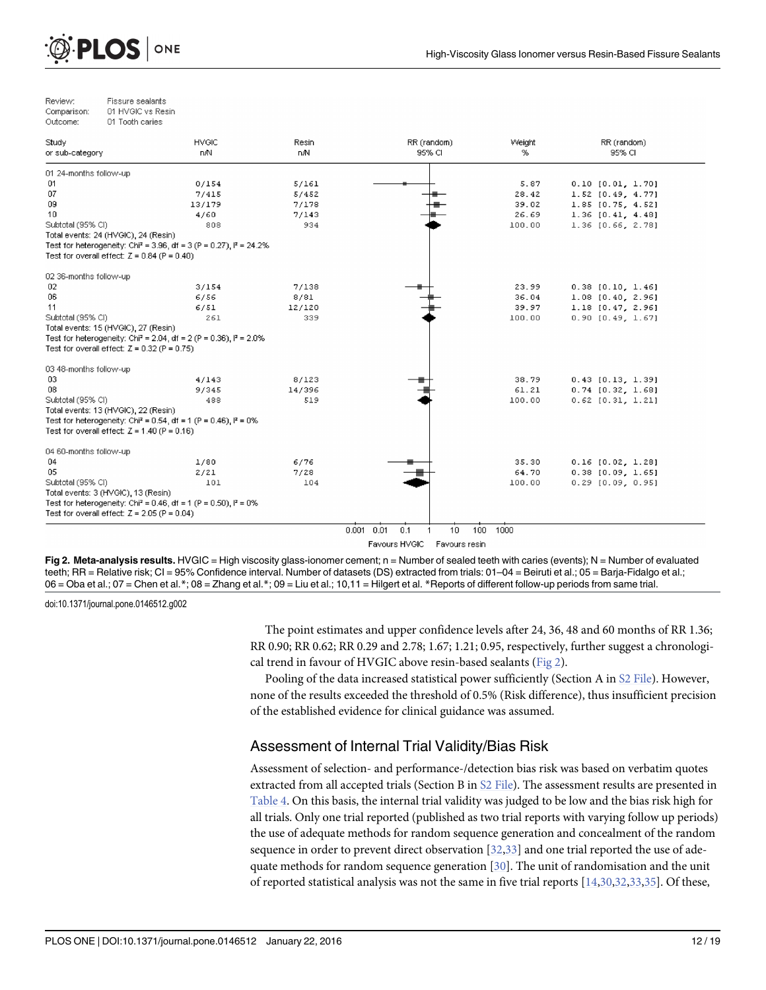Fissure sealants

01 HVGIC vs Resin

<span id="page-11-0"></span>**Review** 

Comperison:

| Study<br>or sub-category                                                               | <b>HVGIC</b><br>n/N                                                               | <b>Resin</b><br>n/N | RR (random)<br>95% CI          | Weight<br>%. | RR (random)<br>95% CI |
|----------------------------------------------------------------------------------------|-----------------------------------------------------------------------------------|---------------------|--------------------------------|--------------|-----------------------|
| 01 24-months follow-up                                                                 |                                                                                   |                     |                                |              |                       |
| 01                                                                                     | 0/154                                                                             | 5/161               |                                | 5.87         | $0.10$ $[0.01, 1.70]$ |
| 07                                                                                     | 7/415                                                                             | 5/452               |                                | 28.42        | $1.52$ $[0.49, 4.77]$ |
| 09                                                                                     | 13/179                                                                            | 7/178               |                                | 39.02        | $1.85$ $[0.75, 4.52]$ |
| 10                                                                                     | 4/60                                                                              | 7/143               |                                | 26.69        | $1.36$ $[0.41, 4.48]$ |
| Subtotal (95% CI)                                                                      | 808                                                                               | 934                 |                                | 100.00       | 1.36 [0.66, 2.78]     |
| Total events: 24 (HVGIC), 24 (Resin)                                                   |                                                                                   |                     |                                |              |                       |
| Test for overall effect: $Z = 0.84$ (P = 0.40)                                         | Test for heterogeneity: Chi <sup>2</sup> = 3.96, df = 3 (P = 0.27), $I^2$ = 24.2% |                     |                                |              |                       |
| 02 36-months follow-up                                                                 |                                                                                   |                     |                                |              |                       |
| 02                                                                                     | 3/154                                                                             | 7/138               |                                | 23.99        | $0.38$ $[0.10, 1.46]$ |
| 06                                                                                     | 6/56                                                                              | 8/81                |                                | 36.04        | $1.08$ $[0.40, 2.96]$ |
| 11                                                                                     | 6/51                                                                              | 12/120              |                                | 39.97        | $1.18$ $[0.47, 2.96]$ |
| Subtotal (95% CI)                                                                      | 261                                                                               | 339                 |                                | 100.00       | $0.90$ $[0.49, 1.67]$ |
| Total events: 15 (HVGIC), 27 (Resin)<br>Test for overall effect: $Z = 0.32$ (P = 0.75) | Test for heterogeneity: Chi <sup>2</sup> = 2.04, df = 2 (P = 0.36), $I^2$ = 2.0%  |                     |                                |              |                       |
| 03 48-months follow-up                                                                 |                                                                                   |                     |                                |              |                       |
| 03                                                                                     | 4/143                                                                             | 8/123               |                                | 38.79        | $0.43$ $[0.13, 1.39]$ |
| 08                                                                                     | 9/345                                                                             | 14/396              |                                | 61.21        | $0.74$ $[0.32, 1.68]$ |
| Subtotal (95% CI)                                                                      | 488                                                                               | 519                 |                                | 100.00       | $0.62$ $[0.31, 1.21]$ |
| Total events: 13 (HVGIC), 22 (Resin)                                                   |                                                                                   |                     |                                |              |                       |
|                                                                                        | Test for heterogeneity: Chi <sup>2</sup> = 0.54, df = 1 (P = 0.46), $P = 0\%$     |                     |                                |              |                       |
| Test for overall effect: $Z = 1.40$ (P = 0.16)                                         |                                                                                   |                     |                                |              |                       |
| 04 60-months follow-up                                                                 |                                                                                   |                     |                                |              |                       |
| 04                                                                                     | 1/80                                                                              | 6/76                |                                | 35.30        | $0.16$ $[0.02, 1.28]$ |
| 05                                                                                     | 2/21                                                                              | 7/28                |                                | 64.70        | $0.38$ $[0.09, 1.65]$ |
| Subtotal (95% CI)                                                                      | 101                                                                               | 104                 |                                | 100.00       | $0.29$ $[0.09, 0.95]$ |
| Total events: 3 (HVGIC), 13 (Resin)                                                    |                                                                                   |                     |                                |              |                       |
|                                                                                        | Test for heterogeneity: Chi <sup>2</sup> = 0.46, df = 1 (P = 0.50), $I^2 = 0\%$   |                     |                                |              |                       |
| Test for overall effect: $Z = 2.05$ (P = 0.04)                                         |                                                                                   |                     |                                |              |                       |
|                                                                                        |                                                                                   | 0.001               | 0.01<br>0.1<br>10              | 100<br>1000  |                       |
|                                                                                        |                                                                                   |                     | Favours HVGIC<br>Favours resin |              |                       |

[Fig 2. M](#page-10-0)eta-analysis results. HVGIC = High viscosity glass-ionomer cement; n = Number of sealed teeth with caries (events); N = Number of evaluated teeth; RR = Relative risk; CI = 95% Confidence interval. Number of datasets (DS) extracted from trials: 01–04 = Beiruti et al.; 05 = Barja-Fidalgo et al.; 06 = Oba et al.; 07 = Chen et al.\*; 08 = Zhang et al.\*; 09 = Liu et al.; 10,11 = Hilgert et al. \*Reports of different follow-up periods from same trial.

doi:10.1371/journal.pone.0146512.g002

The point estimates and upper confidence levels after 24, 36, 48 and 60 months of RR 1.36; RR 0.90; RR 0.62; RR 0.29 and 2.78; 1.67; 1.21; 0.95, respectively, further suggest a chronological trend in favour of HVGIC above resin-based sealants (Fig 2).

Pooling of the data increased statistical power sufficiently (Section A in [S2 File](#page-16-0)). However, none of the results exceeded the threshold of 0.5% (Risk difference), thus insufficient precision of the established evidence for clinical guidance was assumed.

## Assessment of Internal Trial Validity/Bias Risk

Assessment of selection- and performance-/detection bias risk was based on verbatim quotes extracted from all accepted trials (Section B in  $S2$  File). The assessment results are presented in [Table 4](#page-12-0). On this basis, the internal trial validity was judged to be low and the bias risk high for all trials. Only one trial reported (published as two trial reports with varying follow up periods) the use of adequate methods for random sequence generation and concealment of the random sequence in order to prevent direct observation [\[32,33\]](#page-17-0) and one trial reported the use of adequate methods for random sequence generation [[30\]](#page-17-0). The unit of randomisation and the unit of reported statistical analysis was not the same in five trial reports [[14,30](#page-17-0),[32,33,](#page-17-0)[35\]](#page-18-0). Of these,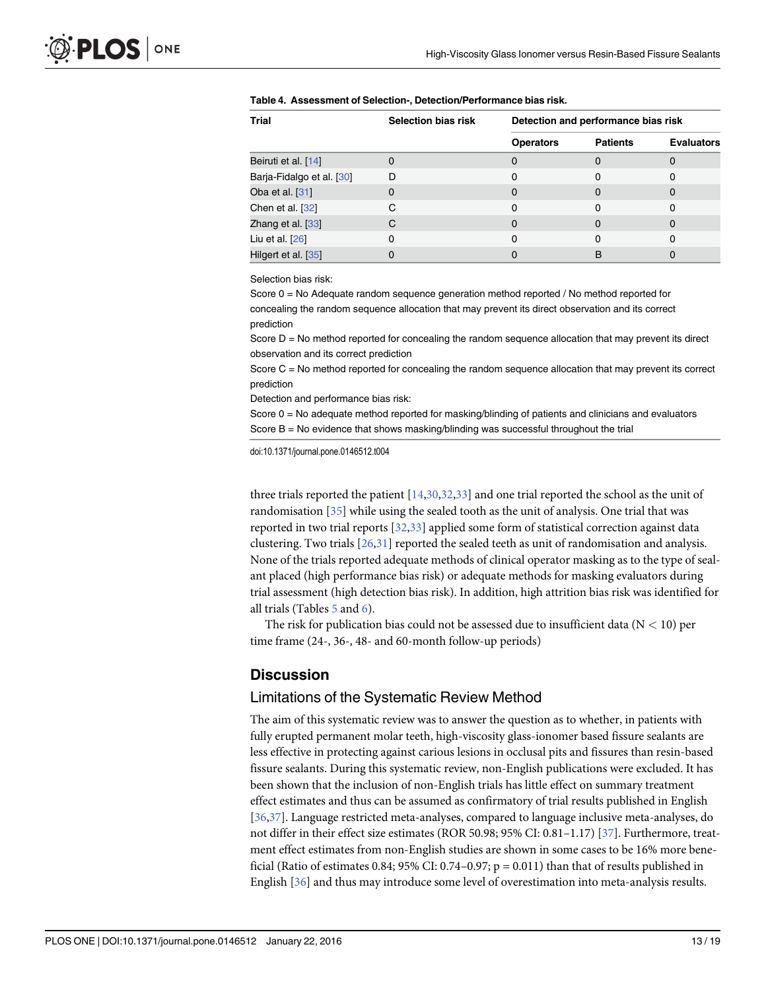| Trial                     | Selection bias risk |                  | Detection and performance bias risk |                   |
|---------------------------|---------------------|------------------|-------------------------------------|-------------------|
|                           |                     | <b>Operators</b> | <b>Patients</b>                     | <b>Evaluators</b> |
| Beiruti et al. [14]       | 0                   | 0                |                                     | 0                 |
| Barja-Fidalgo et al. [30] | D                   | $\Omega$         |                                     |                   |
| Oba et al. [31]           | $\Omega$            | 0                | $\Omega$                            | 0                 |
| Chen et al. [32]          | С                   | $\Omega$         |                                     | 0                 |
| Zhang et al. [33]         | C                   | $\Omega$         | $\Omega$                            |                   |
| Liu et al. [26]           | 0                   | $\Omega$         |                                     | 0                 |
| Hilgert et al. [35]       | 0                   |                  | в                                   |                   |

<span id="page-12-0"></span>[Table 4.](#page-11-0) Assessment of Selection-, Detection/Performance bias risk.

Selection bias risk:

Score 0 = No Adequate random sequence generation method reported / No method reported for concealing the random sequence allocation that may prevent its direct observation and its correct prediction

Score  $D = No$  method reported for concealing the random sequence allocation that may prevent its direct observation and its correct prediction

Score C = No method reported for concealing the random sequence allocation that may prevent its correct prediction

Detection and performance bias risk:

Score 0 = No adequate method reported for masking/blinding of patients and clinicians and evaluators Score  $B = No$  evidence that shows masking/blinding was successful throughout the trial

doi:10.1371/journal.pone.0146512.t004

three trials reported the patient  $[14,30,32,33]$  $[14,30,32,33]$  $[14,30,32,33]$  and one trial reported the school as the unit of randomisation [\[35\]](#page-18-0) while using the sealed tooth as the unit of analysis. One trial that was reported in two trial reports [[32](#page-17-0),[33](#page-17-0)] applied some form of statistical correction against data clustering. Two trials  $[26,31]$  $[26,31]$  $[26,31]$  reported the sealed teeth as unit of randomisation and analysis. None of the trials reported adequate methods of clinical operator masking as to the type of sealant placed (high performance bias risk) or adequate methods for masking evaluators during trial assessment (high detection bias risk). In addition, high attrition bias risk was identified for all trials (Tables  $\frac{5}{2}$  $\frac{5}{2}$  $\frac{5}{2}$  and  $\frac{6}{2}$  $\frac{6}{2}$  $\frac{6}{2}$ ).

The risk for publication bias could not be assessed due to insufficient data ( $N < 10$ ) per time frame (24-, 36-, 48- and 60-month follow-up periods)

## **Discussion**

### Limitations of the Systematic Review Method

The aim of this systematic review was to answer the question as to whether, in patients with fully erupted permanent molar teeth, high-viscosity glass-ionomer based fissure sealants are less effective in protecting against carious lesions in occlusal pits and fissures than resin-based fissure sealants. During this systematic review, non-English publications were excluded. It has been shown that the inclusion of non-English trials has little effect on summary treatment effect estimates and thus can be assumed as confirmatory of trial results published in English [\[36,37\]](#page-18-0). Language restricted meta-analyses, compared to language inclusive meta-analyses, do not differ in their effect size estimates (ROR 50.98; 95% CI: 0.81–1.17) [\[37\]](#page-18-0). Furthermore, treatment effect estimates from non-English studies are shown in some cases to be 16% more beneficial (Ratio of estimates 0.84; 95% CI: 0.74-0.97;  $p = 0.011$ ) than that of results published in English [\[36\]](#page-18-0) and thus may introduce some level of overestimation into meta-analysis results.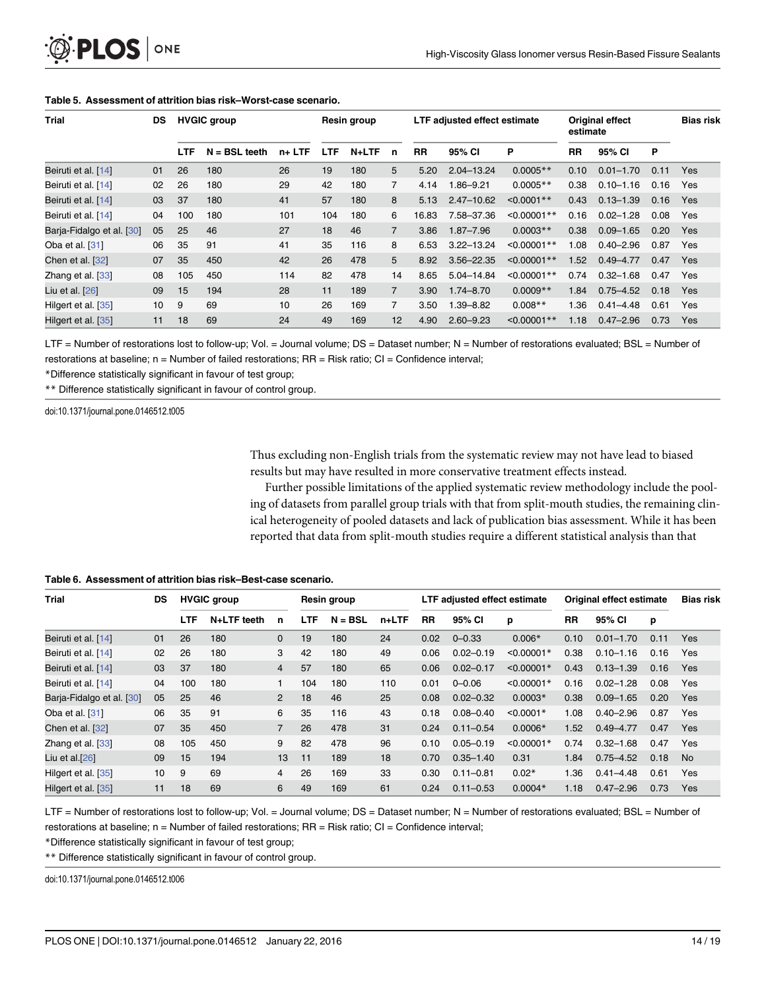| Trial                     | DS               |            | <b>HVGIC group</b> |          |            | Resin group |                |           | LTF adjusted effect estimate |                | estimate  | <b>Original effect</b> |      | <b>Bias risk</b> |
|---------------------------|------------------|------------|--------------------|----------|------------|-------------|----------------|-----------|------------------------------|----------------|-----------|------------------------|------|------------------|
|                           |                  | <b>LTF</b> | $N = BSL$ teeth    | $n+$ LTF | <b>LTF</b> | $N+LTF$     | n              | <b>RR</b> | 95% CI                       | P              | <b>RR</b> | 95% CI                 | P    |                  |
| Beiruti et al. [14]       | 01               | 26         | 180                | 26       | 19         | 180         | 5              | 5.20      | $2.04 - 13.24$               | $0.0005**$     | 0.10      | $0.01 - 1.70$          | 0.11 | <b>Yes</b>       |
| Beiruti et al. [14]       | 02               | 26         | 180                | 29       | 42         | 180         | $\overline{7}$ | 4.14      | $1.86 - 9.21$                | $0.0005**$     | 0.38      | $0.10 - 1.16$          | 0.16 | Yes              |
| Beiruti et al. [14]       | 03               | 37         | 180                | 41       | 57         | 180         | 8              | 5.13      | $2.47 - 10.62$               | $< 0.0001**$   | 0.43      | $0.13 - 1.39$          | 0.16 | <b>Yes</b>       |
| Beiruti et al. [14]       | 04               | 100        | 180                | 101      | 104        | 180         | 6              | 16.83     | 7.58-37.36                   | $< 0.00001$ ** | 0.16      | $0.02 - 1.28$          | 0.08 | Yes              |
| Barja-Fidalgo et al. [30] | 05               | 25         | 46                 | 27       | 18         | 46          | $\overline{7}$ | 3.86      | $1.87 - 7.96$                | $0.0003**$     | 0.38      | $0.09 - 1.65$          | 0.20 | <b>Yes</b>       |
| Oba et al. [31]           | 06               | 35         | 91                 | 41       | 35         | 116         | 8              | 6.53      | $3.22 - 13.24$               | $< 0.00001$ ** | 1.08      | $0.40 - 2.96$          | 0.87 | Yes              |
| Chen et al. [32]          | 07               | 35         | 450                | 42       | 26         | 478         | 5              | 8.92      | $3.56 - 22.35$               | $< 0.00001$ ** | 1.52      | $0.49 - 4.77$          | 0.47 | Yes.             |
| Zhang et al. [33]         | 08               | 105        | 450                | 114      | 82         | 478         | 14             | 8.65      | 5.04-14.84                   | $< 0.00001$ ** | 0.74      | $0.32 - 1.68$          | 0.47 | Yes              |
| Liu et al. $[26]$         | 09               | 15         | 194                | 28       | 11         | 189         | 7              | 3.90      | $1.74 - 8.70$                | $0.0009**$     | 1.84      | $0.75 - 4.52$          | 0.18 | <b>Yes</b>       |
| Hilgert et al. [35]       | 10 <sup>10</sup> | 9          | 69                 | 10       | 26         | 169         | $\overline{7}$ | 3.50      | $1.39 - 8.82$                | $0.008**$      | 1.36      | $0.41 - 4.48$          | 0.61 | Yes              |
| Hilgert et al. [35]       | 11               | 18         | 69                 | 24       | 49         | 169         | 12             | 4.90      | $2.60 - 9.23$                | $< 0.00001$ ** | 1.18      | $0.47 - 2.96$          | 0.73 | <b>Yes</b>       |

#### <span id="page-13-0"></span>[Table 5.](#page-12-0) Assessment of attrition bias risk–Worst-case scenario.

LTF = Number of restorations lost to follow-up; Vol. = Journal volume; DS = Dataset number; N = Number of restorations evaluated; BSL = Number of restorations at baseline; n = Number of failed restorations; RR = Risk ratio; CI = Confidence interval;

\*Difference statistically significant in favour of test group;

\*\* Difference statistically significant in favour of control group.

doi:10.1371/journal.pone.0146512.t005

Thus excluding non-English trials from the systematic review may not have lead to biased results but may have resulted in more conservative treatment effects instead.

Further possible limitations of the applied systematic review methodology include the pooling of datasets from parallel group trials with that from split-mouth studies, the remaining clinical heterogeneity of pooled datasets and lack of publication bias assessment. While it has been reported that data from split-mouth studies require a different statistical analysis than that

| Trial                     | DS |     | <b>HVGIC group</b> |                |            | Resin group |         |           | <b>LTF adjusted effect estimate</b> |              |           | Original effect estimate |      | <b>Bias risk</b> |
|---------------------------|----|-----|--------------------|----------------|------------|-------------|---------|-----------|-------------------------------------|--------------|-----------|--------------------------|------|------------------|
|                           |    | LTF | N+LTF teeth        | n              | <b>LTF</b> | $N = BSL$   | $n+LTF$ | <b>RR</b> | 95% CI                              | р            | <b>RR</b> | 95% CI                   | p    |                  |
| Beiruti et al. [14]       | 01 | 26  | 180                | 0              | 19         | 180         | 24      | 0.02      | $0 - 0.33$                          | $0.006*$     | 0.10      | $0.01 - 1.70$            | 0.11 | <b>Yes</b>       |
| Beiruti et al. [14]       | 02 | 26  | 180                | 3              | 42         | 180         | 49      | 0.06      | $0.02 - 0.19$                       | $< 0.00001*$ | 0.38      | $0.10 - 1.16$            | 0.16 | Yes              |
| Beiruti et al. [14]       | 03 | 37  | 180                | $\overline{4}$ | 57         | 180         | 65      | 0.06      | $0.02 - 0.17$                       | $< 0.00001*$ | 0.43      | $0.13 - 1.39$            | 0.16 | Yes              |
| Beiruti et al. [14]       | 04 | 100 | 180                |                | 104        | 180         | 110     | 0.01      | $0 - 0.06$                          | $< 0.00001*$ | 0.16      | $0.02 - 1.28$            | 0.08 | Yes              |
| Barja-Fidalgo et al. [30] | 05 | 25  | 46                 | $\overline{2}$ | 18         | 46          | 25      | 0.08      | $0.02 - 0.32$                       | $0.0003*$    | 0.38      | $0.09 - 1.65$            | 0.20 | Yes              |
| Oba et al. [31]           | 06 | 35  | 91                 | 6              | 35         | 116         | 43      | 0.18      | $0.08 - 0.40$                       | $< 0.0001*$  | 1.08      | $0.40 - 2.96$            | 0.87 | Yes              |
| Chen et al. [32]          | 07 | 35  | 450                | $\overline{7}$ | 26         | 478         | 31      | 0.24      | $0.11 - 0.54$                       | $0.0006*$    | 1.52      | $0.49 - 4.77$            | 0.47 | Yes              |
| Zhang et al. [33]         | 08 | 105 | 450                | 9              | 82         | 478         | 96      | 0.10      | $0.05 - 0.19$                       | $< 0.00001*$ | 0.74      | $0.32 - 1.68$            | 0.47 | Yes              |
| Liu et al [26]            | 09 | 15  | 194                | 13             | 11         | 189         | 18      | 0.70      | $0.35 - 1.40$                       | 0.31         | 1.84      | $0.75 - 4.52$            | 0.18 | <b>No</b>        |
| Hilgert et al. [35]       | 10 | 9   | 69                 | 4              | 26         | 169         | 33      | 0.30      | $0.11 - 0.81$                       | $0.02*$      | 1.36      | $0.41 - 4.48$            | 0.61 | Yes              |
| Hilgert et al. [35]       | 11 | 18  | 69                 | 6              | 49         | 169         | 61      | 0.24      | $0.11 - 0.53$                       | $0.0004*$    | 1.18      | $0.47 - 2.96$            | 0.73 | <b>Yes</b>       |

#### [Table 6.](#page-12-0) Assessment of attrition bias risk–Best-case scenario.

LTF = Number of restorations lost to follow-up; Vol. = Journal volume; DS = Dataset number; N = Number of restorations evaluated; BSL = Number of restorations at baseline; n = Number of failed restorations; RR = Risk ratio; CI = Confidence interval;

\*Difference statistically significant in favour of test group;

\*\* Difference statistically significant in favour of control group.

doi:10.1371/journal.pone.0146512.t006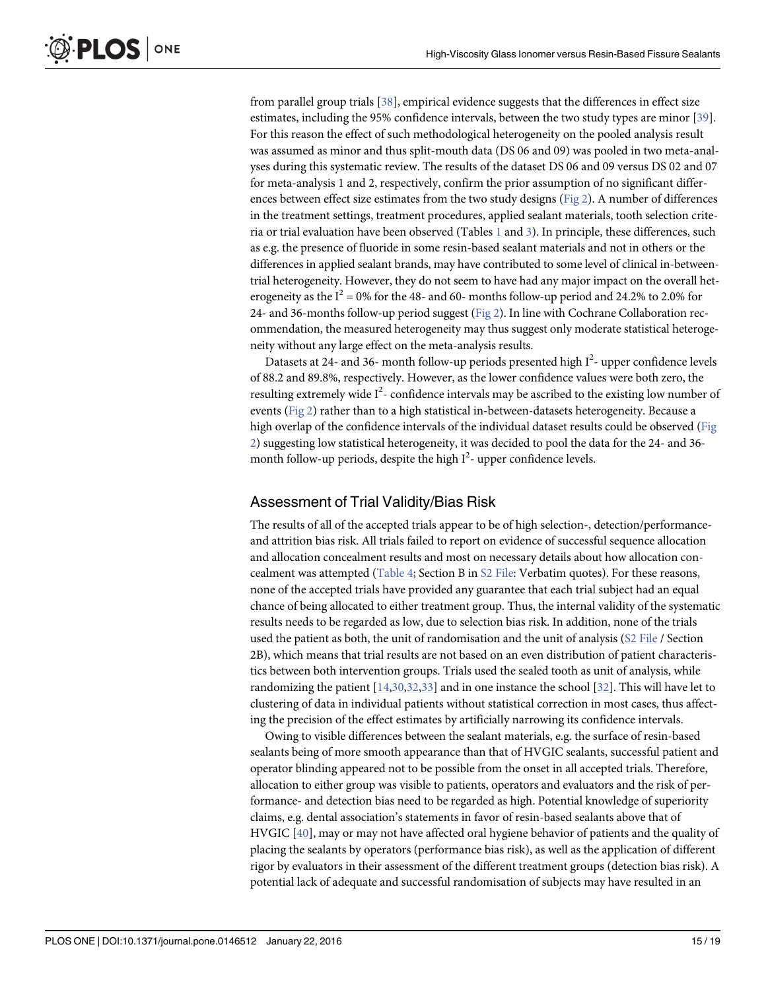<span id="page-14-0"></span>from parallel group trials [[38](#page-18-0)], empirical evidence suggests that the differences in effect size estimates, including the 95% confidence intervals, between the two study types are minor [\[39\]](#page-18-0). For this reason the effect of such methodological heterogeneity on the pooled analysis result was assumed as minor and thus split-mouth data (DS 06 and 09) was pooled in two meta-analyses during this systematic review. The results of the dataset DS 06 and 09 versus DS 02 and 07 for meta-analysis 1 and 2, respectively, confirm the prior assumption of no significant differences between effect size estimates from the two study designs ([Fig 2\)](#page-11-0). A number of differences in the treatment settings, treatment procedures, applied sealant materials, tooth selection criteria or trial evaluation have been observed (Tables [1](#page-7-0) and [3](#page-10-0)). In principle, these differences, such as e.g. the presence of fluoride in some resin-based sealant materials and not in others or the differences in applied sealant brands, may have contributed to some level of clinical in-betweentrial heterogeneity. However, they do not seem to have had any major impact on the overall heterogeneity as the  $I^2 = 0\%$  for the 48- and 60- months follow-up period and 24.2% to 2.0% for 24- and 36-months follow-up period suggest [\(Fig 2](#page-11-0)). In line with Cochrane Collaboration recommendation, the measured heterogeneity may thus suggest only moderate statistical heterogeneity without any large effect on the meta-analysis results.

Datasets at 24- and 36- month follow-up periods presented high  $I^2$ - upper confidence levels of 88.2 and 89.8%, respectively. However, as the lower confidence values were both zero, the resulting extremely wide  $I^2$ - confidence intervals may be ascribed to the existing low number of events ([Fig 2](#page-11-0)) rather than to a high statistical in-between-datasets heterogeneity. Because a high overlap of the confidence intervals of the individual dataset results could be observed [\(Fig](#page-11-0) [2\)](#page-11-0) suggesting low statistical heterogeneity, it was decided to pool the data for the 24- and 36 month follow-up periods, despite the high  $I^2$ - upper confidence levels.

## Assessment of Trial Validity/Bias Risk

The results of all of the accepted trials appear to be of high selection-, detection/performanceand attrition bias risk. All trials failed to report on evidence of successful sequence allocation and allocation concealment results and most on necessary details about how allocation concealment was attempted [\(Table 4](#page-12-0); Section B in [S2 File:](#page-16-0) Verbatim quotes). For these reasons, none of the accepted trials have provided any guarantee that each trial subject had an equal chance of being allocated to either treatment group. Thus, the internal validity of the systematic results needs to be regarded as low, due to selection bias risk. In addition, none of the trials used the patient as both, the unit of randomisation and the unit of analysis ([S2 File](#page-16-0) / Section 2B), which means that trial results are not based on an even distribution of patient characteristics between both intervention groups. Trials used the sealed tooth as unit of analysis, while randomizing the patient  $[14,30,32,33]$  $[14,30,32,33]$  and in one instance the school [\[32](#page-17-0)]. This will have let to clustering of data in individual patients without statistical correction in most cases, thus affecting the precision of the effect estimates by artificially narrowing its confidence intervals.

Owing to visible differences between the sealant materials, e.g. the surface of resin-based sealants being of more smooth appearance than that of HVGIC sealants, successful patient and operator blinding appeared not to be possible from the onset in all accepted trials. Therefore, allocation to either group was visible to patients, operators and evaluators and the risk of performance- and detection bias need to be regarded as high. Potential knowledge of superiority claims, e.g. dental association's statements in favor of resin-based sealants above that of HVGIC [\[40\]](#page-18-0), may or may not have affected oral hygiene behavior of patients and the quality of placing the sealants by operators (performance bias risk), as well as the application of different rigor by evaluators in their assessment of the different treatment groups (detection bias risk). A potential lack of adequate and successful randomisation of subjects may have resulted in an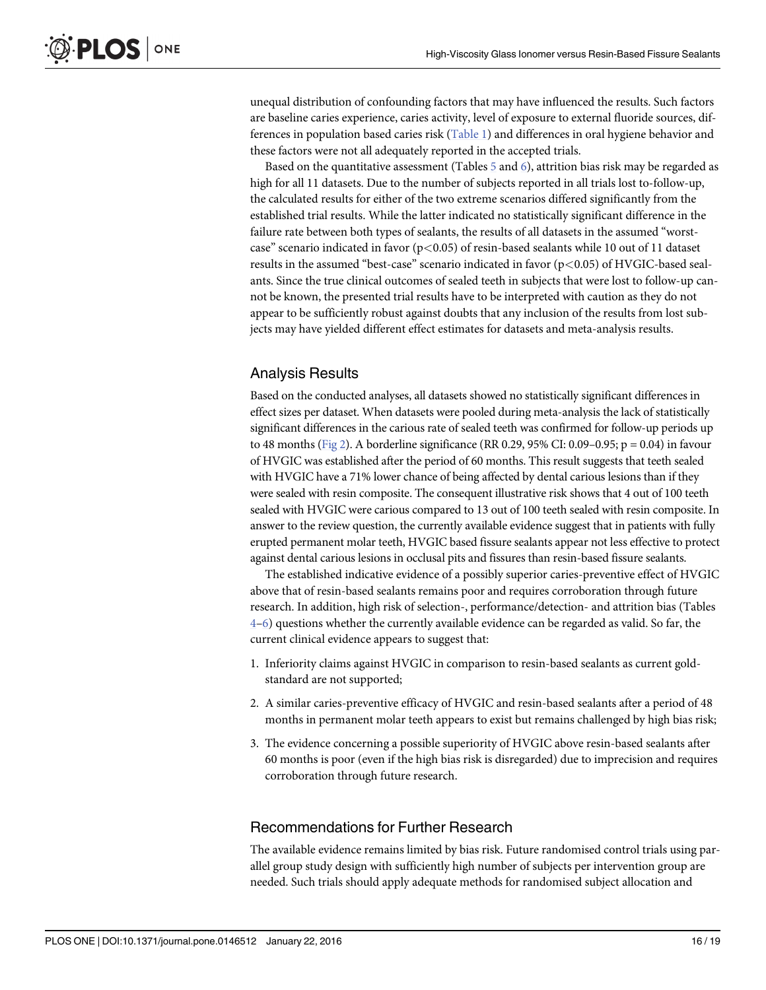unequal distribution of confounding factors that may have influenced the results. Such factors are baseline caries experience, caries activity, level of exposure to external fluoride sources, differences in population based caries risk [\(Table 1\)](#page-7-0) and differences in oral hygiene behavior and these factors were not all adequately reported in the accepted trials.

Based on the quantitative assessment (Tables [5](#page-13-0) and [6](#page-13-0)), attrition bias risk may be regarded as high for all 11 datasets. Due to the number of subjects reported in all trials lost to-follow-up, the calculated results for either of the two extreme scenarios differed significantly from the established trial results. While the latter indicated no statistically significant difference in the failure rate between both types of sealants, the results of all datasets in the assumed "worstcase" scenario indicated in favor ( $p<0.05$ ) of resin-based sealants while 10 out of 11 dataset results in the assumed "best-case" scenario indicated in favor (p<0.05) of HVGIC-based sealants. Since the true clinical outcomes of sealed teeth in subjects that were lost to follow-up cannot be known, the presented trial results have to be interpreted with caution as they do not appear to be sufficiently robust against doubts that any inclusion of the results from lost subjects may have yielded different effect estimates for datasets and meta-analysis results.

## Analysis Results

Based on the conducted analyses, all datasets showed no statistically significant differences in effect sizes per dataset. When datasets were pooled during meta-analysis the lack of statistically significant differences in the carious rate of sealed teeth was confirmed for follow-up periods up to 48 months [\(Fig 2](#page-11-0)). A borderline significance (RR 0.29, 95% CI: 0.09–0.95; p = 0.04) in favour of HVGIC was established after the period of 60 months. This result suggests that teeth sealed with HVGIC have a 71% lower chance of being affected by dental carious lesions than if they were sealed with resin composite. The consequent illustrative risk shows that 4 out of 100 teeth sealed with HVGIC were carious compared to 13 out of 100 teeth sealed with resin composite. In answer to the review question, the currently available evidence suggest that in patients with fully erupted permanent molar teeth, HVGIC based fissure sealants appear not less effective to protect against dental carious lesions in occlusal pits and fissures than resin-based fissure sealants.

The established indicative evidence of a possibly superior caries-preventive effect of HVGIC above that of resin-based sealants remains poor and requires corroboration through future research. In addition, high risk of selection-, performance/detection- and attrition bias (Tables  $4-6$  $4-6$ ) questions whether the currently available evidence can be regarded as valid. So far, the current clinical evidence appears to suggest that:

- 1. Inferiority claims against HVGIC in comparison to resin-based sealants as current goldstandard are not supported;
- 2. A similar caries-preventive efficacy of HVGIC and resin-based sealants after a period of 48 months in permanent molar teeth appears to exist but remains challenged by high bias risk;
- 3. The evidence concerning a possible superiority of HVGIC above resin-based sealants after 60 months is poor (even if the high bias risk is disregarded) due to imprecision and requires corroboration through future research.

## Recommendations for Further Research

The available evidence remains limited by bias risk. Future randomised control trials using parallel group study design with sufficiently high number of subjects per intervention group are needed. Such trials should apply adequate methods for randomised subject allocation and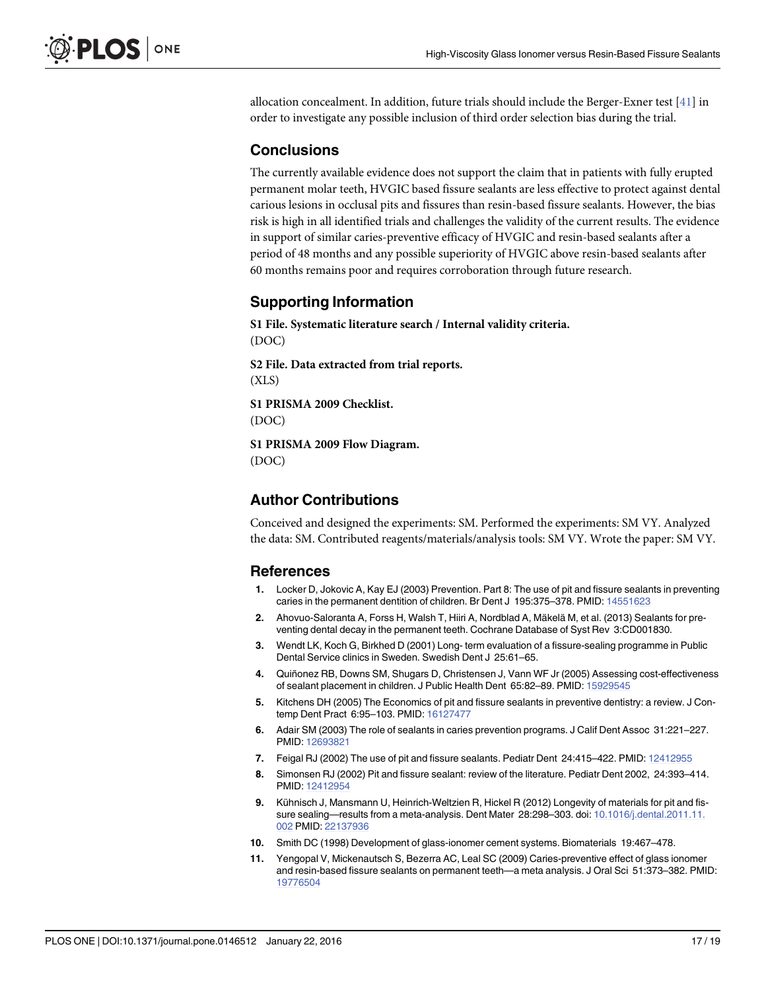<span id="page-16-0"></span>allocation concealment. In addition, future trials should include the Berger-Exner test [[41](#page-18-0)] in order to investigate any possible inclusion of third order selection bias during the trial.

## **Conclusions**

The currently available evidence does not support the claim that in patients with fully erupted permanent molar teeth, HVGIC based fissure sealants are less effective to protect against dental carious lesions in occlusal pits and fissures than resin-based fissure sealants. However, the bias risk is high in all identified trials and challenges the validity of the current results. The evidence in support of similar caries-preventive efficacy of HVGIC and resin-based sealants after a period of 48 months and any possible superiority of HVGIC above resin-based sealants after 60 months remains poor and requires corroboration through future research.

## Supporting Information

[S1 File.](http://www.plosone.org/article/fetchSingleRepresentation.action?uri=info:doi/10.1371/journal.pone.0146512.s001) Systematic literature search / Internal validity criteria. (DOC)

[S2 File.](http://www.plosone.org/article/fetchSingleRepresentation.action?uri=info:doi/10.1371/journal.pone.0146512.s002) Data extracted from trial reports.  $(XLS)$ 

[S1 PRISMA 2009 Checklist](http://www.plosone.org/article/fetchSingleRepresentation.action?uri=info:doi/10.1371/journal.pone.0146512.s003). (DOC)

[S1 PRISMA 2009 Flow Diagram](http://www.plosone.org/article/fetchSingleRepresentation.action?uri=info:doi/10.1371/journal.pone.0146512.s004). (DOC)

## Author Contributions

Conceived and designed the experiments: SM. Performed the experiments: SM VY. Analyzed the data: SM. Contributed reagents/materials/analysis tools: SM VY. Wrote the paper: SM VY.

## References

- [1.](#page-1-0) Locker D, Jokovic A, Kay EJ (2003) Prevention. Part 8: The use of pit and fissure sealants in preventing caries in the permanent dentition of children. Br Dent J 195:375–378. PMID: [14551623](http://www.ncbi.nlm.nih.gov/pubmed/14551623)
- 2. Ahovuo-Saloranta A, Forss H, Walsh T, Hiiri A, Nordblad A, Mäkelä M, et al. (2013) Sealants for preventing dental decay in the permanent teeth. Cochrane Database of Syst Rev 3:CD001830.
- [3.](#page-1-0) Wendt LK, Koch G, Birkhed D (2001) Long- term evaluation of a fissure-sealing programme in Public Dental Service clinics in Sweden. Swedish Dent J 25:61–65.
- [4.](#page-1-0) Quiñonez RB, Downs SM, Shugars D, Christensen J, Vann WF Jr (2005) Assessing cost-effectiveness of sealant placement in children. J Public Health Dent 65:82–89. PMID: [15929545](http://www.ncbi.nlm.nih.gov/pubmed/15929545)
- [5.](#page-1-0) Kitchens DH (2005) The Economics of pit and fissure sealants in preventive dentistry: a review. J Contemp Dent Pract 6:95–103. PMID: [16127477](http://www.ncbi.nlm.nih.gov/pubmed/16127477)
- [6.](#page-1-0) Adair SM (2003) The role of sealants in caries prevention programs. J Calif Dent Assoc 31:221–227. PMID: [12693821](http://www.ncbi.nlm.nih.gov/pubmed/12693821)
- 7. Feigal RJ (2002) The use of pit and fissure sealants. Pediatr Dent 24:415–422. PMID: [12412955](http://www.ncbi.nlm.nih.gov/pubmed/12412955)
- [8.](#page-2-0) Simonsen RJ (2002) Pit and fissure sealant: review of the literature. Pediatr Dent 2002, 24:393–414. PMID: [12412954](http://www.ncbi.nlm.nih.gov/pubmed/12412954)
- [9.](#page-1-0) Kühnisch J, Mansmann U, Heinrich-Weltzien R, Hickel R (2012) Longevity of materials for pit and fissure sealing—results from a meta-analysis. Dent Mater 28:298–303. doi: [10.1016/j.dental.2011.11.](http://dx.doi.org/10.1016/j.dental.2011.11.002) [002](http://dx.doi.org/10.1016/j.dental.2011.11.002) PMID: [22137936](http://www.ncbi.nlm.nih.gov/pubmed/22137936)
- [10.](#page-1-0) Smith DC (1998) Development of glass-ionomer cement systems. Biomaterials 19:467–478.
- [11.](#page-1-0) Yengopal V, Mickenautsch S, Bezerra AC, Leal SC (2009) Caries-preventive effect of glass ionomer and resin-based fissure sealants on permanent teeth—a meta analysis. J Oral Sci 51:373–382. PMID: [19776504](http://www.ncbi.nlm.nih.gov/pubmed/19776504)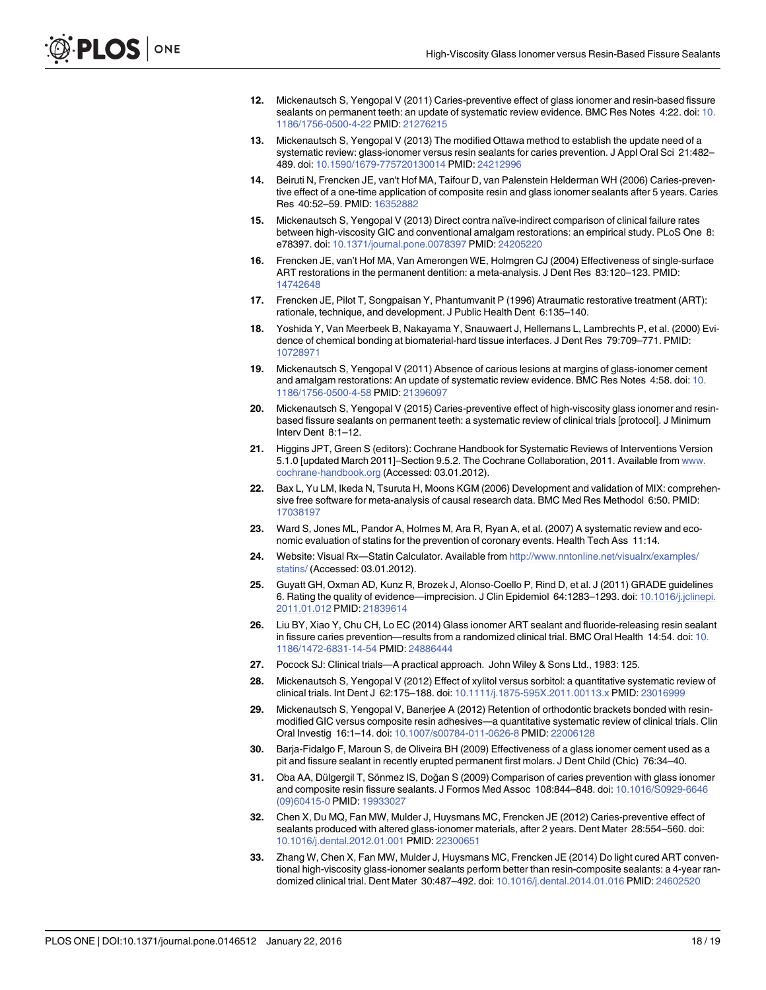- <span id="page-17-0"></span>[12.](#page-1-0) Mickenautsch S, Yengopal V (2011) Caries-preventive effect of glass ionomer and resin-based fissure sealants on permanent teeth: an update of systematic review evidence. BMC Res Notes 4:22. doi: [10.](http://dx.doi.org/10.1186/1756-0500-4-22) [1186/1756-0500-4-22](http://dx.doi.org/10.1186/1756-0500-4-22) PMID: [21276215](http://www.ncbi.nlm.nih.gov/pubmed/21276215)
- [13.](#page-1-0) Mickenautsch S, Yengopal V (2013) The modified Ottawa method to establish the update need of a systematic review: glass-ionomer versus resin sealants for caries prevention. J Appl Oral Sci 21:482-489. doi: [10.1590/1679-775720130014](http://dx.doi.org/10.1590/1679-775720130014) PMID: [24212996](http://www.ncbi.nlm.nih.gov/pubmed/24212996)
- [14.](#page-1-0) Beiruti N, Frencken JE, van't Hof MA, Taifour D, van Palenstein Helderman WH (2006) Caries-preventive effect of a one-time application of composite resin and glass ionomer sealants after 5 years. Caries Res 40:52–59. PMID: [16352882](http://www.ncbi.nlm.nih.gov/pubmed/16352882)
- [15.](#page-1-0) Mickenautsch S, Yengopal V (2013) Direct contra naïve-indirect comparison of clinical failure rates between high-viscosity GIC and conventional amalgam restorations: an empirical study. PLoS One 8: e78397. doi: [10.1371/journal.pone.0078397](http://dx.doi.org/10.1371/journal.pone.0078397) PMID: [24205220](http://www.ncbi.nlm.nih.gov/pubmed/24205220)
- [16.](#page-1-0) Frencken JE, van't Hof MA, Van Amerongen WE, Holmgren CJ (2004) Effectiveness of single-surface ART restorations in the permanent dentition: a meta-analysis. J Dent Res 83:120–123. PMID: [14742648](http://www.ncbi.nlm.nih.gov/pubmed/14742648)
- [17.](#page-2-0) Frencken JE, Pilot T, Songpaisan Y, Phantumvanit P (1996) Atraumatic restorative treatment (ART): rationale, technique, and development. J Public Health Dent 6:135–140.
- [18.](#page-2-0) Yoshida Y, Van Meerbeek B, Nakayama Y, Snauwaert J, Hellemans L, Lambrechts P, et al. (2000) Evidence of chemical bonding at biomaterial-hard tissue interfaces. J Dent Res 79:709–771. PMID: [10728971](http://www.ncbi.nlm.nih.gov/pubmed/10728971)
- [19.](#page-2-0) Mickenautsch S, Yengopal V (2011) Absence of carious lesions at margins of glass-ionomer cement and amalgam restorations: An update of systematic review evidence. BMC Res Notes 4:58. doi: [10.](http://dx.doi.org/10.1186/1756-0500-4-58) [1186/1756-0500-4-58](http://dx.doi.org/10.1186/1756-0500-4-58) PMID: [21396097](http://www.ncbi.nlm.nih.gov/pubmed/21396097)
- [20.](#page-2-0) Mickenautsch S, Yengopal V (2015) Caries-preventive effect of high-viscosity glass ionomer and resinbased fissure sealants on permanent teeth: a systematic review of clinical trials [protocol]. J Minimum Interv Dent 8:1–12.
- [21.](#page-4-0) Higgins JPT, Green S (editors): Cochrane Handbook for Systematic Reviews of Interventions Version 5.1.0 [updated March 2011]–Section 9.5.2. The Cochrane Collaboration, 2011. Available from [www.](http://www.cochrane-handbook.org) [cochrane-handbook.org](http://www.cochrane-handbook.org) (Accessed: 03.01.2012).
- [22.](#page-4-0) Bax L, Yu LM, Ikeda N, Tsuruta H, Moons KGM (2006) Development and validation of MIX: comprehensive free software for meta-analysis of causal research data. BMC Med Res Methodol 6:50. PMID: [17038197](http://www.ncbi.nlm.nih.gov/pubmed/17038197)
- [23.](#page-4-0) Ward S, Jones ML, Pandor A, Holmes M, Ara R, Ryan A, et al. (2007) A systematic review and economic evaluation of statins for the prevention of coronary events. Health Tech Ass 11:14.
- [24.](#page-4-0) Website: Visual Rx-Statin Calculator. Available from [http://www.nntonline.net/visualrx/examples/](http://www.nntonline.net/visualrx/examples/statins/) [statins/](http://www.nntonline.net/visualrx/examples/statins/) (Accessed: 03.01.2012).
- [25.](#page-4-0) Guyatt GH, Oxman AD, Kunz R, Brozek J, Alonso-Coello P, Rind D, et al. J (2011) GRADE guidelines 6. Rating the quality of evidence—imprecision. J Clin Epidemiol 64:1283–1293. doi: [10.1016/j.jclinepi.](http://dx.doi.org/10.1016/j.jclinepi.2011.01.012) [2011.01.012](http://dx.doi.org/10.1016/j.jclinepi.2011.01.012) PMID: [21839614](http://www.ncbi.nlm.nih.gov/pubmed/21839614)
- [26.](#page-4-0) Liu BY, Xiao Y, Chu CH, Lo EC (2014) Glass ionomer ART sealant and fluoride-releasing resin sealant in fissure caries prevention—results from a randomized clinical trial. BMC Oral Health 14:54. doi: [10.](http://dx.doi.org/10.1186/1472-6831-14-54) [1186/1472-6831-14-54](http://dx.doi.org/10.1186/1472-6831-14-54) PMID: [24886444](http://www.ncbi.nlm.nih.gov/pubmed/24886444)
- [27.](#page-4-0) Pocock SJ: Clinical trials—A practical approach. John Wiley & Sons Ltd., 1983: 125.
- [28.](#page-5-0) Mickenautsch S, Yengopal V (2012) Effect of xylitol versus sorbitol: a quantitative systematic review of clinical trials. Int Dent J 62:175–188. doi: [10.1111/j.1875-595X.2011.00113.x](http://dx.doi.org/10.1111/j.1875-595X.2011.00113.x) PMID: [23016999](http://www.ncbi.nlm.nih.gov/pubmed/23016999)
- [29.](#page-5-0) Mickenautsch S, Yengopal V, Banerjee A (2012) Retention of orthodontic brackets bonded with resinmodified GIC versus composite resin adhesives—a quantitative systematic review of clinical trials. Clin Oral Investig 16:1–14. doi: [10.1007/s00784-011-0626-8](http://dx.doi.org/10.1007/s00784-011-0626-8) PMID: [22006128](http://www.ncbi.nlm.nih.gov/pubmed/22006128)
- [30.](#page-5-0) Barja-Fidalgo F, Maroun S, de Oliveira BH (2009) Effectiveness of a glass ionomer cement used as a pit and fissure sealant in recently erupted permanent first molars. J Dent Child (Chic) 76:34–40.
- [31.](#page-6-0) Oba AA, Dülgergil T, Sönmez IS, Doğan S (2009) Comparison of caries prevention with glass ionomer and composite resin fissure sealants. J Formos Med Assoc 108:844–848. doi: [10.1016/S0929-6646](http://dx.doi.org/10.1016/S0929-6646(09)60415-0) [\(09\)60415-0](http://dx.doi.org/10.1016/S0929-6646(09)60415-0) PMID: [19933027](http://www.ncbi.nlm.nih.gov/pubmed/19933027)
- [32.](#page-6-0) Chen X, Du MQ, Fan MW, Mulder J, Huysmans MC, Frencken JE (2012) Caries-preventive effect of sealants produced with altered glass-ionomer materials, after 2 years. Dent Mater 28:554–560. doi: [10.1016/j.dental.2012.01.001](http://dx.doi.org/10.1016/j.dental.2012.01.001) PMID: [22300651](http://www.ncbi.nlm.nih.gov/pubmed/22300651)
- [33.](#page-5-0) Zhang W, Chen X, Fan MW, Mulder J, Huysmans MC, Frencken JE (2014) Do light cured ART conventional high-viscosity glass-ionomer sealants perform better than resin-composite sealants: a 4-year randomized clinical trial. Dent Mater 30:487–492. doi: [10.1016/j.dental.2014.01.016](http://dx.doi.org/10.1016/j.dental.2014.01.016) PMID: [24602520](http://www.ncbi.nlm.nih.gov/pubmed/24602520)